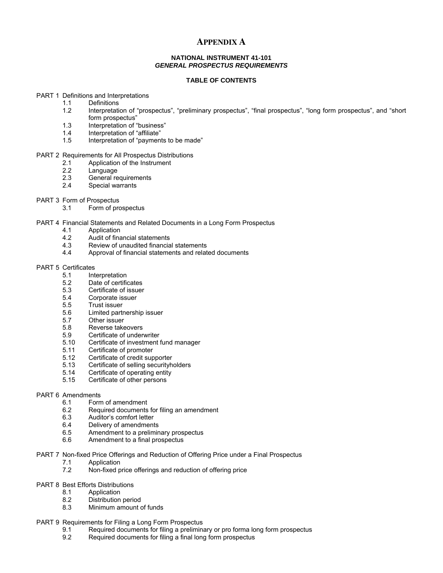# **APPENDIX A**

#### **NATIONAL INSTRUMENT 41-101**  *GENERAL PROSPECTUS REQUIREMENTS*

# **TABLE OF CONTENTS**

- PART 1 Definitions and Interpretations
	- 1.1 Definitions
	- 1.2 Interpretation of "prospectus", "preliminary prospectus", "final prospectus", "long form prospectus", and "short form prospectus"
	- 1.3 Interpretation of "business"
	- 1.4 Interpretation of "affiliate"<br>1.5 Interpretation of "paymen"
	- Interpretation of "payments to be made"

# PART 2 Requirements for All Prospectus Distributions

- 2.1 Application of the Instrument
- 2.2 Language
- 2.3 General requirements
- 2.4 Special warrants
- PART 3 Form of Prospectus
	- 3.1 Form of prospectus

# PART 4 Financial Statements and Related Documents in a Long Form Prospectus

- 4.1 Application
- 4.2 Audit of financial statements
- 4.3 Review of unaudited financial statements
- 4.4 Approval of financial statements and related documents

# PART 5 Certificates

- 5.1 Interpretation
- 5.2 Date of certificates
- 5.3 Certificate of issuer
- 5.4 Corporate issuer
- 5.5 Trust issuer
- 5.6 Limited partnership issuer
- 5.7 Other issuer<br>5.8 Reverse take
- 5.8 Reverse takeovers<br>5.9 Certificate of under
- 5.9 Certificate of underwriter<br>5.10 Certificate of investment f
- 5.10 Certificate of investment fund manager
- 5.11 Certificate of promoter
- 5.12 Certificate of credit supporter
- 5.13 Certificate of selling securityholders
- 5.14 Certificate of operating entity
- 5.15 Certificate of other persons

# PART 6 Amendments

- 6.1 Form of amendment
- 6.2 Required documents for filing an amendment<br>6.3 Auditor's comfort letter
- Auditor's comfort letter
- 6.4 Delivery of amendments
- 6.5 Amendment to a preliminary prospectus
- 6.6 Amendment to a final prospectus
- PART 7 Non-fixed Price Offerings and Reduction of Offering Price under a Final Prospectus
	- 7.1 Application<br>7.2 Non-fixed p
	- Non-fixed price offerings and reduction of offering price
- PART 8 Best Efforts Distributions
	- 8.1 Application<br>8.2 Distribution
	- 8.2 Distribution period<br>8.3 Minimum amount of
	- Minimum amount of funds
- PART 9 Requirements for Filing a Long Form Prospectus
	- 9.1 Required documents for filing a preliminary or pro forma long form prospectus<br>9.2 Required documents for filing a final long form prospectus
	- Required documents for filing a final long form prospectus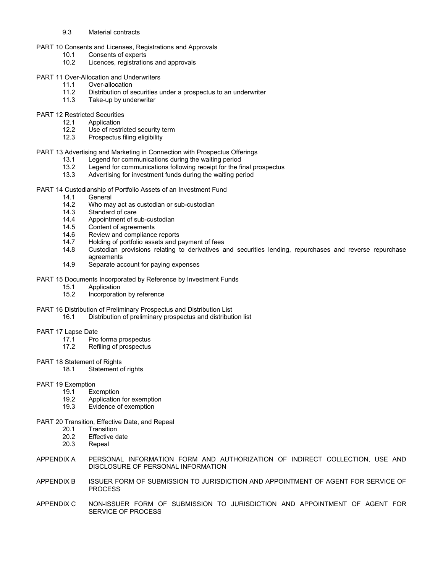#### 9.3 Material contracts

#### PART 10 Consents and Licenses, Registrations and Approvals

- 10.1 Consents of experts<br>10.2 Licences, registration
	- Licences, registrations and approvals

# PART 11 Over-Allocation and Underwriters

- 11.1 Over-allocation
- 11.2 Distribution of securities under a prospectus to an underwriter<br>11.3 Take-up by underwriter
- Take-up by underwriter

# PART 12 Restricted Securities

- 12.1 Application
- 12.2 Use of restricted security term<br>12.3 Prospectus filing eligibility
- Prospectus filing eligibility

# PART 13 Advertising and Marketing in Connection with Prospectus Offerings

- 13.1 Legend for communications during the waiting period<br>13.2 Legend for communications following receipt for the fi
- 13.2 Legend for communications following receipt for the final prospectus 13.3 Advertising for investment funds during the waiting period
- Advertising for investment funds during the waiting period

# PART 14 Custodianship of Portfolio Assets of an Investment Fund

- 14.1 General
- 14.2 Who may act as custodian or sub-custodian
- 14.3 Standard of care
- 14.4 Appointment of sub-custodian
- 14.5 Content of agreements
- 14.6 Review and compliance reports
- 14.7 Holding of portfolio assets and payment of fees
- 14.8 Custodian provisions relating to derivatives and securities lending, repurchases and reverse repurchase agreements
- 14.9 Separate account for paying expenses

# PART 15 Documents Incorporated by Reference by Investment Funds

- 15.1 Application<br>15.2 Incorporation
- Incorporation by reference
- PART 16 Distribution of Preliminary Prospectus and Distribution List
	- 16.1 Distribution of preliminary prospectus and distribution list

# PART 17 Lapse Date

- 17.1 Pro forma prospectus<br>17.2 Refiling of prospectus
- Refiling of prospectus

# PART 18 Statement of Rights<br>18.1 Statement of

Statement of rights

# PART 19 Exemption

- 19.1 Exemption
- 19.2 Application for exemption
- 19.3 Evidence of exemption

PART 20 Transition, Effective Date, and Repeal<br>20 1 Transition

- 20.1 Transition<br>20.2 Fffective d
- Effective date
- 20.3 Repeal
- APPENDIX A PERSONAL INFORMATION FORM AND AUTHORIZATION OF INDIRECT COLLECTION, USE AND DISCLOSURE OF PERSONAL INFORMATION
- APPENDIX B ISSUER FORM OF SUBMISSION TO JURISDICTION AND APPOINTMENT OF AGENT FOR SERVICE OF PROCESS
- APPENDIX C NON-ISSUER FORM OF SUBMISSION TO JURISDICTION AND APPOINTMENT OF AGENT FOR SERVICE OF PROCESS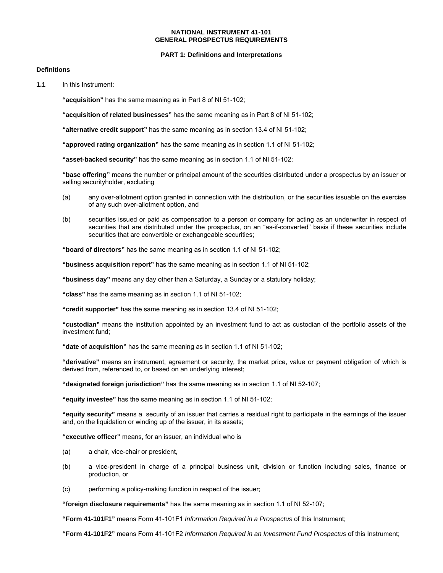# **NATIONAL INSTRUMENT 41-101 GENERAL PROSPECTUS REQUIREMENTS**

#### **PART 1: Definitions and Interpretations**

#### **Definitions**

**1.1** In this Instrument:

**"acquisition"** has the same meaning as in Part 8 of NI 51-102;

**"acquisition of related businesses"** has the same meaning as in Part 8 of NI 51-102;

**"alternative credit support"** has the same meaning as in section 13.4 of NI 51-102;

**"approved rating organization"** has the same meaning as in section 1.1 of NI 51-102;

**"asset-backed security"** has the same meaning as in section 1.1 of NI 51-102;

**"base offering"** means the number or principal amount of the securities distributed under a prospectus by an issuer or selling securityholder, excluding

- (a) any over-allotment option granted in connection with the distribution, or the securities issuable on the exercise of any such over-allotment option, and
- (b) securities issued or paid as compensation to a person or company for acting as an underwriter in respect of securities that are distributed under the prospectus, on an "as-if-converted" basis if these securities include securities that are convertible or exchangeable securities;

**"board of directors"** has the same meaning as in section 1.1 of NI 51-102;

**"business acquisition report"** has the same meaning as in section 1.1 of NI 51-102;

**"business day"** means any day other than a Saturday, a Sunday or a statutory holiday;

**"class"** has the same meaning as in section 1.1 of NI 51-102;

**"credit supporter"** has the same meaning as in section 13.4 of NI 51-102;

**"custodian"** means the institution appointed by an investment fund to act as custodian of the portfolio assets of the investment fund;

**"date of acquisition"** has the same meaning as in section 1.1 of NI 51-102;

**"derivative"** means an instrument, agreement or security, the market price, value or payment obligation of which is derived from, referenced to, or based on an underlying interest;

**"designated foreign jurisdiction"** has the same meaning as in section 1.1 of NI 52-107;

**"equity investee"** has the same meaning as in section 1.1 of NI 51-102;

**"equity security"** means a security of an issuer that carries a residual right to participate in the earnings of the issuer and, on the liquidation or winding up of the issuer, in its assets;

**"executive officer"** means, for an issuer, an individual who is

- (a) a chair, vice-chair or president,
- (b) a vice-president in charge of a principal business unit, division or function including sales, finance or production, or
- (c) performing a policy-making function in respect of the issuer;

**"foreign disclosure requirements"** has the same meaning as in section 1.1 of NI 52-107;

**"Form 41-101F1"** means Form 41-101F1 *Information Required in a Prospectus* of this Instrument;

**"Form 41-101F2"** means Form 41-101F2 *Information Required in an Investment Fund Prospectus* of this Instrument;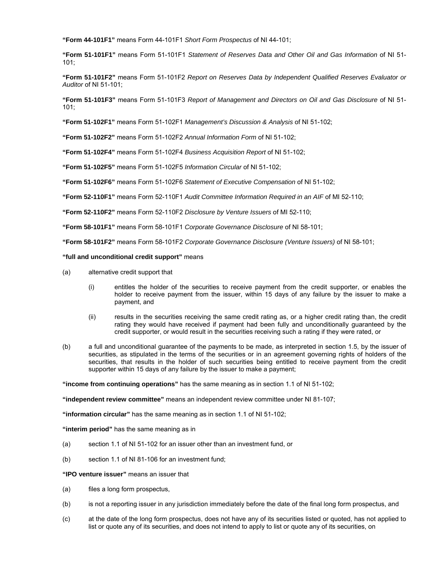**"Form 44-101F1"** means Form 44-101F1 *Short Form Prospectus* of NI 44-101;

**"Form 51-101F1"** means Form 51-101F1 *Statement of Reserves Data and Other Oil and Gas Information* of NI 51-  $101$ ;

**"Form 51-101F2"** means Form 51-101F2 *Report on Reserves Data by Independent Qualified Reserves Evaluator or Auditor* of NI 51-101;

**"Form 51-101F3"** means Form 51-101F3 *Report of Management and Directors on Oil and Gas Disclosure* of NI 51- 101;

**"Form 51-102F1"** means Form 51-102F1 *Management's Discussion & Analysis* of NI 51-102;

**"Form 51-102F2"** means Form 51-102F2 *Annual Information Form* of NI 51-102;

**"Form 51-102F4"** means Form 51-102F4 *Business Acquisition Report* of NI 51-102;

**"Form 51-102F5"** means Form 51-102F5 *Information Circular* of NI 51-102;

**"Form 51-102F6"** means Form 51-102F6 *Statement of Executive Compensation* of NI 51-102;

**"Form 52-110F1"** means Form 52-110F1 *Audit Committee Information Required in an AIF* of MI 52-110;

**"Form 52-110F2"** means Form 52-110F2 *Disclosure by Venture Issuers* of MI 52-110;

**"Form 58-101F1"** means Form 58-101F1 *Corporate Governance Disclosure* of NI 58-101;

**"Form 58-101F2"** means Form 58-101F2 *Corporate Governance Disclosure (Venture Issuers)* of NI 58-101;

#### **"full and unconditional credit support"** means

- (a) alternative credit support that
	- (i) entitles the holder of the securities to receive payment from the credit supporter, or enables the holder to receive payment from the issuer, within 15 days of any failure by the issuer to make a payment, and
	- (ii) results in the securities receiving the same credit rating as, or a higher credit rating than, the credit rating they would have received if payment had been fully and unconditionally guaranteed by the credit supporter, or would result in the securities receiving such a rating if they were rated, or
- (b) a full and unconditional guarantee of the payments to be made, as interpreted in section 1.5, by the issuer of securities, as stipulated in the terms of the securities or in an agreement governing rights of holders of the securities, that results in the holder of such securities being entitled to receive payment from the credit supporter within 15 days of any failure by the issuer to make a payment;

**"income from continuing operations"** has the same meaning as in section 1.1 of NI 51-102;

**"independent review committee"** means an independent review committee under NI 81-107;

**"information circular"** has the same meaning as in section 1.1 of NI 51-102;

**"interim period"** has the same meaning as in

- (a) section 1.1 of NI 51-102 for an issuer other than an investment fund, or
- (b) section 1.1 of NI 81-106 for an investment fund;

# **"IPO venture issuer"** means an issuer that

- (a) files a long form prospectus,
- (b) is not a reporting issuer in any jurisdiction immediately before the date of the final long form prospectus, and
- (c) at the date of the long form prospectus, does not have any of its securities listed or quoted, has not applied to list or quote any of its securities, and does not intend to apply to list or quote any of its securities, on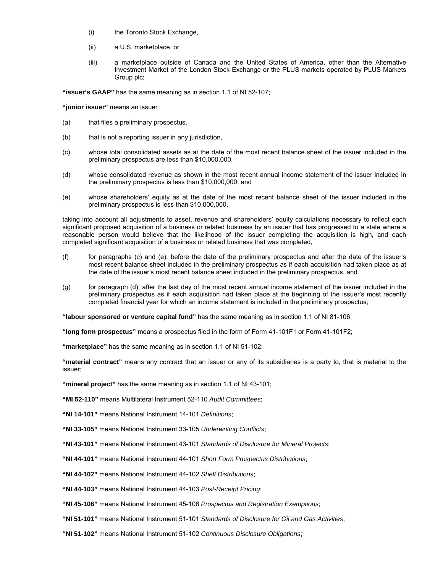- (i) the Toronto Stock Exchange,
- (ii) a U.S. marketplace, or
- (iii) a marketplace outside of Canada and the United States of America, other than the Alternative Investment Market of the London Stock Exchange or the PLUS markets operated by PLUS Markets Group plc;

**"issuer's GAAP"** has the same meaning as in section 1.1 of NI 52-107;

**"junior issuer"** means an issuer

- (a) that files a preliminary prospectus,
- (b) that is not a reporting issuer in any jurisdiction,
- (c) whose total consolidated assets as at the date of the most recent balance sheet of the issuer included in the preliminary prospectus are less than \$10,000,000,
- (d) whose consolidated revenue as shown in the most recent annual income statement of the issuer included in the preliminary prospectus is less than \$10,000,000, and
- (e) whose shareholders' equity as at the date of the most recent balance sheet of the issuer included in the preliminary prospectus is less than \$10,000,000,

taking into account all adjustments to asset, revenue and shareholders' equity calculations necessary to reflect each significant proposed acquisition of a business or related business by an issuer that has progressed to a state where a reasonable person would believe that the likelihood of the issuer completing the acquisition is high, and each completed significant acquisition of a business or related business that was completed,

- (f) for paragraphs (c) and (e), before the date of the preliminary prospectus and after the date of the issuer's most recent balance sheet included in the preliminary prospectus as if each acquisition had taken place as at the date of the issuer's most recent balance sheet included in the preliminary prospectus, and
- (g) for paragraph (d), after the last day of the most recent annual income statement of the issuer included in the preliminary prospectus as if each acquisition had taken place at the beginning of the issuer's most recently completed financial year for which an income statement is included in the preliminary prospectus;

**"labour sponsored or venture capital fund"** has the same meaning as in section 1.1 of NI 81-106;

**"long form prospectus"** means a prospectus filed in the form of Form 41-101F1 or Form 41-101F2;

**"marketplace"** has the same meaning as in section 1.1 of NI 51-102;

**"material contract"** means any contract that an issuer or any of its subsidiaries is a party to, that is material to the issuer;

**"mineral project"** has the same meaning as in section 1.1 of NI 43-101;

**"MI 52-110"** means Multilateral Instrument 52-110 *Audit Committees*;

**"NI 14-101"** means National Instrument 14-101 *Definitions*;

**"NI 33-105"** means National Instrument 33-105 *Underwriting Conflicts*;

**"NI 43-101"** means National Instrument 43-101 *Standards of Disclosure for Mineral Projects*;

**"NI 44-101"** means National Instrument 44-101 *Short Form Prospectus Distributions*;

**"NI 44-102"** means National Instrument 44-102 *Shelf Distributions*;

**"NI 44-103"** means National Instrument 44-103 *Post-Receipt Pricing*;

**"NI 45-106"** means National Instrument 45-106 *Prospectus and Registration Exemptions*;

**"NI 51-101"** means National Instrument 51-101 *Standards of Disclosure for Oil and Gas Activities*;

**"NI 51-102"** means National Instrument 51-102 *Continuous Disclosure Obligations*;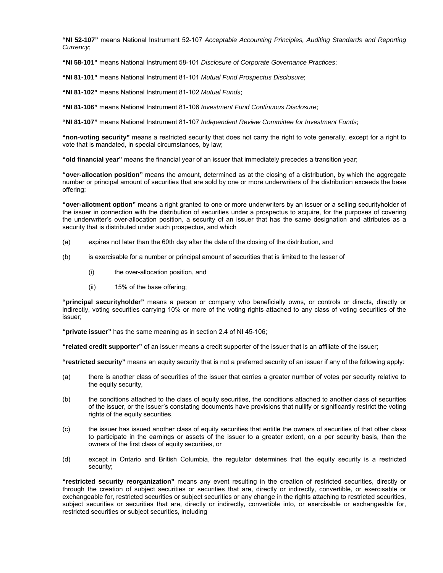**"NI 52-107"** means National Instrument 52-107 *Acceptable Accounting Principles, Auditing Standards and Reporting Currency*;

**"NI 58-101"** means National Instrument 58-101 *Disclosure of Corporate Governance Practices*;

**"NI 81-101"** means National Instrument 81-101 *Mutual Fund Prospectus Disclosure*;

**"NI 81-102"** means National Instrument 81-102 *Mutual Funds*;

**"NI 81-106"** means National Instrument 81-106 *Investment Fund Continuous Disclosure*;

**"NI 81-107"** means National Instrument 81-107 *Independent Review Committee for Investment Funds*;

**"non-voting security"** means a restricted security that does not carry the right to vote generally, except for a right to vote that is mandated, in special circumstances, by law;

**"old financial year"** means the financial year of an issuer that immediately precedes a transition year;

**"over-allocation position"** means the amount, determined as at the closing of a distribution, by which the aggregate number or principal amount of securities that are sold by one or more underwriters of the distribution exceeds the base offering;

**"over-allotment option"** means a right granted to one or more underwriters by an issuer or a selling securityholder of the issuer in connection with the distribution of securities under a prospectus to acquire, for the purposes of covering the underwriter's over-allocation position, a security of an issuer that has the same designation and attributes as a security that is distributed under such prospectus, and which

- (a) expires not later than the 60th day after the date of the closing of the distribution, and
- (b) is exercisable for a number or principal amount of securities that is limited to the lesser of
	- (i) the over-allocation position, and
	- (ii) 15% of the base offering;

**"principal securityholder"** means a person or company who beneficially owns, or controls or directs, directly or indirectly, voting securities carrying 10% or more of the voting rights attached to any class of voting securities of the issuer;

**"private issuer"** has the same meaning as in section 2.4 of NI 45-106;

**"related credit supporter"** of an issuer means a credit supporter of the issuer that is an affiliate of the issuer;

**"restricted security"** means an equity security that is not a preferred security of an issuer if any of the following apply:

- (a) there is another class of securities of the issuer that carries a greater number of votes per security relative to the equity security,
- (b) the conditions attached to the class of equity securities, the conditions attached to another class of securities of the issuer, or the issuer's constating documents have provisions that nullify or significantly restrict the voting rights of the equity securities,
- (c) the issuer has issued another class of equity securities that entitle the owners of securities of that other class to participate in the earnings or assets of the issuer to a greater extent, on a per security basis, than the owners of the first class of equity securities, or
- (d) except in Ontario and British Columbia, the regulator determines that the equity security is a restricted security;

**"restricted security reorganization"** means any event resulting in the creation of restricted securities, directly or through the creation of subject securities or securities that are, directly or indirectly, convertible, or exercisable or exchangeable for, restricted securities or subject securities or any change in the rights attaching to restricted securities, subject securities or securities that are, directly or indirectly, convertible into, or exercisable or exchangeable for, restricted securities or subject securities, including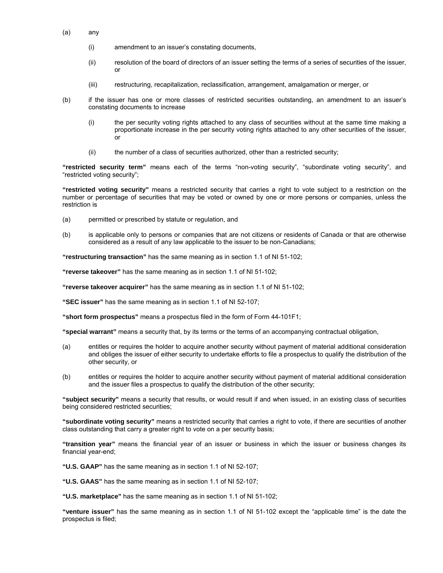- (a) any
	- (i) amendment to an issuer's constating documents,
	- (ii) resolution of the board of directors of an issuer setting the terms of a series of securities of the issuer, or
	- (iii) restructuring, recapitalization, reclassification, arrangement, amalgamation or merger, or
- (b) if the issuer has one or more classes of restricted securities outstanding, an amendment to an issuer's constating documents to increase
	- (i) the per security voting rights attached to any class of securities without at the same time making a proportionate increase in the per security voting rights attached to any other securities of the issuer, or
	- (ii) the number of a class of securities authorized, other than a restricted security;

**"restricted security term"** means each of the terms "non-voting security", "subordinate voting security", and "restricted voting security";

**"restricted voting security"** means a restricted security that carries a right to vote subject to a restriction on the number or percentage of securities that may be voted or owned by one or more persons or companies, unless the restriction is

- (a) permitted or prescribed by statute or regulation, and
- (b) is applicable only to persons or companies that are not citizens or residents of Canada or that are otherwise considered as a result of any law applicable to the issuer to be non-Canadians;

**"restructuring transaction"** has the same meaning as in section 1.1 of NI 51-102;

**"reverse takeover"** has the same meaning as in section 1.1 of NI 51-102;

**"reverse takeover acquirer"** has the same meaning as in section 1.1 of NI 51-102;

**"SEC issuer"** has the same meaning as in section 1.1 of NI 52-107;

**"short form prospectus"** means a prospectus filed in the form of Form 44-101F1;

**"special warrant"** means a security that, by its terms or the terms of an accompanying contractual obligation,

- (a) entitles or requires the holder to acquire another security without payment of material additional consideration and obliges the issuer of either security to undertake efforts to file a prospectus to qualify the distribution of the other security, or
- (b) entitles or requires the holder to acquire another security without payment of material additional consideration and the issuer files a prospectus to qualify the distribution of the other security;

**"subject security"** means a security that results, or would result if and when issued, in an existing class of securities being considered restricted securities;

**"subordinate voting security"** means a restricted security that carries a right to vote, if there are securities of another class outstanding that carry a greater right to vote on a per security basis;

**"transition year"** means the financial year of an issuer or business in which the issuer or business changes its financial year-end;

**"U.S. GAAP"** has the same meaning as in section 1.1 of NI 52-107;

**"U.S. GAAS"** has the same meaning as in section 1.1 of NI 52-107;

**"U.S. marketplace"** has the same meaning as in section 1.1 of NI 51-102;

**"venture issuer"** has the same meaning as in section 1.1 of NI 51-102 except the "applicable time" is the date the prospectus is filed;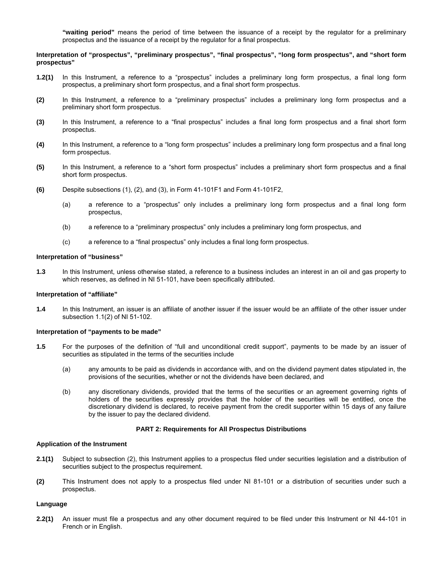**"waiting period"** means the period of time between the issuance of a receipt by the regulator for a preliminary prospectus and the issuance of a receipt by the regulator for a final prospectus.

#### **Interpretation of "prospectus", "preliminary prospectus", "final prospectus", "long form prospectus", and "short form prospectus"**

- **1.2(1)** In this Instrument, a reference to a "prospectus" includes a preliminary long form prospectus, a final long form prospectus, a preliminary short form prospectus, and a final short form prospectus.
- **(2)** In this Instrument, a reference to a "preliminary prospectus" includes a preliminary long form prospectus and a preliminary short form prospectus.
- **(3)** In this Instrument, a reference to a "final prospectus" includes a final long form prospectus and a final short form prospectus.
- **(4)** In this Instrument, a reference to a "long form prospectus" includes a preliminary long form prospectus and a final long form prospectus.
- **(5)** In this Instrument, a reference to a "short form prospectus" includes a preliminary short form prospectus and a final short form prospectus.
- **(6)** Despite subsections (1), (2), and (3), in Form 41-101F1 and Form 41-101F2,
	- (a) a reference to a "prospectus" only includes a preliminary long form prospectus and a final long form prospectus,
	- (b) a reference to a "preliminary prospectus" only includes a preliminary long form prospectus, and
	- (c) a reference to a "final prospectus" only includes a final long form prospectus.

#### **Interpretation of "business"**

**1.3** In this Instrument, unless otherwise stated, a reference to a business includes an interest in an oil and gas property to which reserves, as defined in NI 51-101, have been specifically attributed.

#### **Interpretation of "affiliate"**

**1.4** In this Instrument, an issuer is an affiliate of another issuer if the issuer would be an affiliate of the other issuer under subsection 1.1(2) of NI 51-102.

#### **Interpretation of "payments to be made"**

- **1.5** For the purposes of the definition of "full and unconditional credit support", payments to be made by an issuer of securities as stipulated in the terms of the securities include
	- (a) any amounts to be paid as dividends in accordance with, and on the dividend payment dates stipulated in, the provisions of the securities, whether or not the dividends have been declared, and
	- (b) any discretionary dividends, provided that the terms of the securities or an agreement governing rights of holders of the securities expressly provides that the holder of the securities will be entitled, once the discretionary dividend is declared, to receive payment from the credit supporter within 15 days of any failure by the issuer to pay the declared dividend.

#### **PART 2: Requirements for All Prospectus Distributions**

# **Application of the Instrument**

- **2.1(1)** Subject to subsection (2), this Instrument applies to a prospectus filed under securities legislation and a distribution of securities subject to the prospectus requirement.
- **(2)** This Instrument does not apply to a prospectus filed under NI 81-101 or a distribution of securities under such a prospectus.

#### **Language**

**2.2(1)** An issuer must file a prospectus and any other document required to be filed under this Instrument or NI 44-101 in French or in English.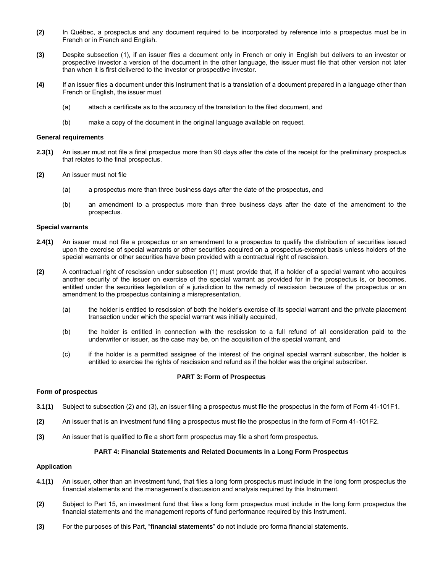- **(2)** In Québec, a prospectus and any document required to be incorporated by reference into a prospectus must be in French or in French and English.
- **(3)** Despite subsection (1), if an issuer files a document only in French or only in English but delivers to an investor or prospective investor a version of the document in the other language, the issuer must file that other version not later than when it is first delivered to the investor or prospective investor.
- **(4)** If an issuer files a document under this Instrument that is a translation of a document prepared in a language other than French or English, the issuer must
	- (a) attach a certificate as to the accuracy of the translation to the filed document, and
	- (b) make a copy of the document in the original language available on request.

#### **General requirements**

- **2.3(1)** An issuer must not file a final prospectus more than 90 days after the date of the receipt for the preliminary prospectus that relates to the final prospectus.
- **(2)** An issuer must not file
	- (a) a prospectus more than three business days after the date of the prospectus, and
	- (b) an amendment to a prospectus more than three business days after the date of the amendment to the prospectus.

#### **Special warrants**

- **2.4(1)** An issuer must not file a prospectus or an amendment to a prospectus to qualify the distribution of securities issued upon the exercise of special warrants or other securities acquired on a prospectus-exempt basis unless holders of the special warrants or other securities have been provided with a contractual right of rescission.
- **(2)** A contractual right of rescission under subsection (1) must provide that, if a holder of a special warrant who acquires another security of the issuer on exercise of the special warrant as provided for in the prospectus is, or becomes, entitled under the securities legislation of a jurisdiction to the remedy of rescission because of the prospectus or an amendment to the prospectus containing a misrepresentation,
	- (a) the holder is entitled to rescission of both the holder's exercise of its special warrant and the private placement transaction under which the special warrant was initially acquired,
	- (b) the holder is entitled in connection with the rescission to a full refund of all consideration paid to the underwriter or issuer, as the case may be, on the acquisition of the special warrant, and
	- (c) if the holder is a permitted assignee of the interest of the original special warrant subscriber, the holder is entitled to exercise the rights of rescission and refund as if the holder was the original subscriber.

# **PART 3: Form of Prospectus**

#### **Form of prospectus**

- **3.1(1)** Subject to subsection (2) and (3), an issuer filing a prospectus must file the prospectus in the form of Form 41-101F1.
- **(2)** An issuer that is an investment fund filing a prospectus must file the prospectus in the form of Form 41-101F2.
- **(3)** An issuer that is qualified to file a short form prospectus may file a short form prospectus.

# **PART 4: Financial Statements and Related Documents in a Long Form Prospectus**

#### **Application**

- **4.1(1)** An issuer, other than an investment fund, that files a long form prospectus must include in the long form prospectus the financial statements and the management's discussion and analysis required by this Instrument.
- **(2)** Subject to Part 15, an investment fund that files a long form prospectus must include in the long form prospectus the financial statements and the management reports of fund performance required by this Instrument.
- **(3)** For the purposes of this Part, "**financial statements**" do not include pro forma financial statements.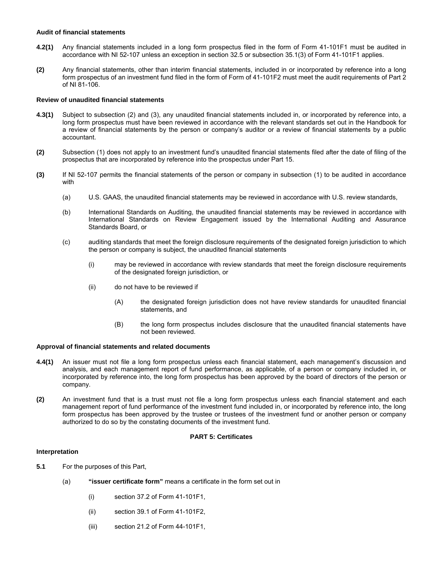#### **Audit of financial statements**

- **4.2(1)** Any financial statements included in a long form prospectus filed in the form of Form 41-101F1 must be audited in accordance with NI 52-107 unless an exception in section 32.5 or subsection 35.1(3) of Form 41-101F1 applies.
- **(2)** Any financial statements, other than interim financial statements, included in or incorporated by reference into a long form prospectus of an investment fund filed in the form of Form of 41-101F2 must meet the audit requirements of Part 2 of NI 81-106.

# **Review of unaudited financial statements**

- **4.3(1)** Subject to subsection (2) and (3), any unaudited financial statements included in, or incorporated by reference into, a long form prospectus must have been reviewed in accordance with the relevant standards set out in the Handbook for a review of financial statements by the person or company's auditor or a review of financial statements by a public accountant.
- **(2)** Subsection (1) does not apply to an investment fund's unaudited financial statements filed after the date of filing of the prospectus that are incorporated by reference into the prospectus under Part 15.
- **(3)** If NI 52-107 permits the financial statements of the person or company in subsection (1) to be audited in accordance with
	- (a) U.S. GAAS, the unaudited financial statements may be reviewed in accordance with U.S. review standards,
	- (b) International Standards on Auditing, the unaudited financial statements may be reviewed in accordance with International Standards on Review Engagement issued by the International Auditing and Assurance Standards Board, or
	- (c) auditing standards that meet the foreign disclosure requirements of the designated foreign jurisdiction to which the person or company is subject, the unaudited financial statements
		- (i) may be reviewed in accordance with review standards that meet the foreign disclosure requirements of the designated foreign jurisdiction, or
		- (ii) do not have to be reviewed if
			- (A) the designated foreign jurisdiction does not have review standards for unaudited financial statements, and
			- (B) the long form prospectus includes disclosure that the unaudited financial statements have not been reviewed.

#### **Approval of financial statements and related documents**

- **4.4(1)** An issuer must not file a long form prospectus unless each financial statement, each management's discussion and analysis, and each management report of fund performance, as applicable, of a person or company included in, or incorporated by reference into, the long form prospectus has been approved by the board of directors of the person or company.
- **(2)** An investment fund that is a trust must not file a long form prospectus unless each financial statement and each management report of fund performance of the investment fund included in, or incorporated by reference into, the long form prospectus has been approved by the trustee or trustees of the investment fund or another person or company authorized to do so by the constating documents of the investment fund.

#### **PART 5: Certificates**

#### **Interpretation**

- **5.1** For the purposes of this Part,
	- (a) **"issuer certificate form"** means a certificate in the form set out in
		- (i) section 37.2 of Form 41-101F1,
		- (ii) section 39.1 of Form 41-101F2,
		- (iii) section 21.2 of Form 44-101F1,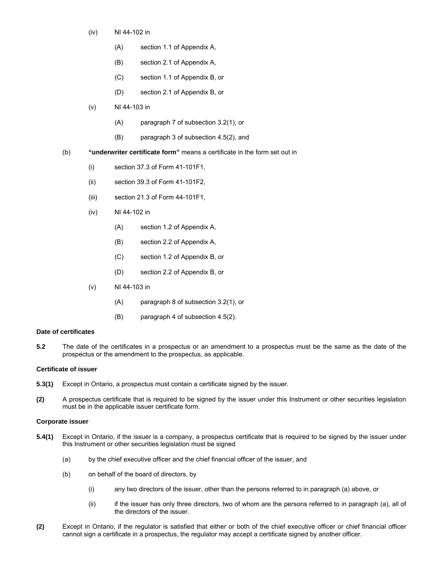- (iv) NI 44-102 in
	- (A) section 1.1 of Appendix A,
	- (B) section 2.1 of Appendix A,
	- (C) section 1.1 of Appendix B, or
	- (D) section 2.1 of Appendix B, or
- (v) NI 44-103 in
	- (A) paragraph 7 of subsection 3.2(1), or
	- (B) paragraph 3 of subsection 4.5(2), and
- (b) **"underwriter certificate form"** means a certificate in the form set out in
	- (i) section 37.3 of Form 41-101F1,
	- (ii) section 39.3 of Form 41-101F2,
	- (iii) section 21.3 of Form 44-101F1,
	- (iv) NI 44-102 in
		- (A) section 1.2 of Appendix A,
		- (B) section 2.2 of Appendix A,
		- (C) section 1.2 of Appendix B, or
		- (D) section 2.2 of Appendix B, or
	- (v) NI 44-103 in
		- (A) paragraph 8 of subsection 3.2(1), or
		- (B) paragraph 4 of subsection 4.5(2).

# **Date of certificates**

**5.2** The date of the certificates in a prospectus or an amendment to a prospectus must be the same as the date of the prospectus or the amendment to the prospectus, as applicable.

# **Certificate of issuer**

- **5.3(1)** Except in Ontario, a prospectus must contain a certificate signed by the issuer.
- **(2)** A prospectus certificate that is required to be signed by the issuer under this Instrument or other securities legislation must be in the applicable issuer certificate form.

#### **Corporate issuer**

- **5.4(1)** Except in Ontario, if the issuer is a company, a prospectus certificate that is required to be signed by the issuer under this Instrument or other securities legislation must be signed
	- (a) by the chief executive officer and the chief financial officer of the issuer, and
	- (b) on behalf of the board of directors, by
		- (i) any two directors of the issuer, other than the persons referred to in paragraph (a) above, or
		- (ii) if the issuer has only three directors, two of whom are the persons referred to in paragraph (a), all of the directors of the issuer.
- **(2)** Except in Ontario, if the regulator is satisfied that either or both of the chief executive officer or chief financial officer cannot sign a certificate in a prospectus, the regulator may accept a certificate signed by another officer.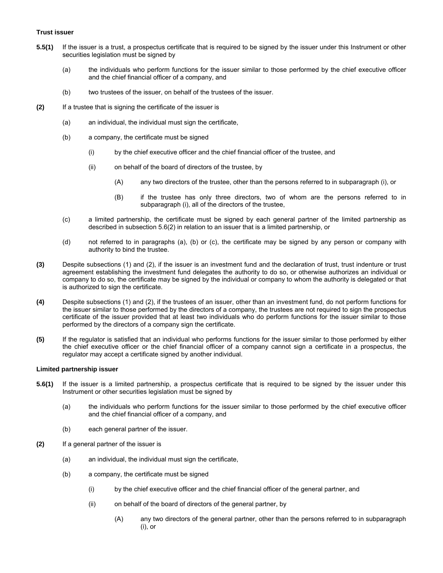# **Trust issuer**

- **5.5(1)** If the issuer is a trust, a prospectus certificate that is required to be signed by the issuer under this Instrument or other securities legislation must be signed by
	- (a) the individuals who perform functions for the issuer similar to those performed by the chief executive officer and the chief financial officer of a company, and
	- (b) two trustees of the issuer, on behalf of the trustees of the issuer.
- **(2)** If a trustee that is signing the certificate of the issuer is
	- (a) an individual, the individual must sign the certificate,
	- (b) a company, the certificate must be signed
		- (i) by the chief executive officer and the chief financial officer of the trustee, and
		- (ii) on behalf of the board of directors of the trustee, by
			- (A) any two directors of the trustee, other than the persons referred to in subparagraph (i), or
			- (B) if the trustee has only three directors, two of whom are the persons referred to in subparagraph (i), all of the directors of the trustee,
	- (c) a limited partnership, the certificate must be signed by each general partner of the limited partnership as described in subsection 5.6(2) in relation to an issuer that is a limited partnership, or
	- (d) not referred to in paragraphs (a), (b) or (c), the certificate may be signed by any person or company with authority to bind the trustee.
- **(3)** Despite subsections (1) and (2), if the issuer is an investment fund and the declaration of trust, trust indenture or trust agreement establishing the investment fund delegates the authority to do so, or otherwise authorizes an individual or company to do so, the certificate may be signed by the individual or company to whom the authority is delegated or that is authorized to sign the certificate.
- **(4)** Despite subsections (1) and (2), if the trustees of an issuer, other than an investment fund, do not perform functions for the issuer similar to those performed by the directors of a company, the trustees are not required to sign the prospectus certificate of the issuer provided that at least two individuals who do perform functions for the issuer similar to those performed by the directors of a company sign the certificate.
- **(5)** If the regulator is satisfied that an individual who performs functions for the issuer similar to those performed by either the chief executive officer or the chief financial officer of a company cannot sign a certificate in a prospectus, the regulator may accept a certificate signed by another individual.

# **Limited partnership issuer**

- **5.6(1)** If the issuer is a limited partnership, a prospectus certificate that is required to be signed by the issuer under this Instrument or other securities legislation must be signed by
	- (a) the individuals who perform functions for the issuer similar to those performed by the chief executive officer and the chief financial officer of a company, and
	- (b) each general partner of the issuer.
- **(2)** If a general partner of the issuer is
	- (a) an individual, the individual must sign the certificate,
	- (b) a company, the certificate must be signed
		- (i) by the chief executive officer and the chief financial officer of the general partner, and
		- (ii) on behalf of the board of directors of the general partner, by
			- (A) any two directors of the general partner, other than the persons referred to in subparagraph (i), or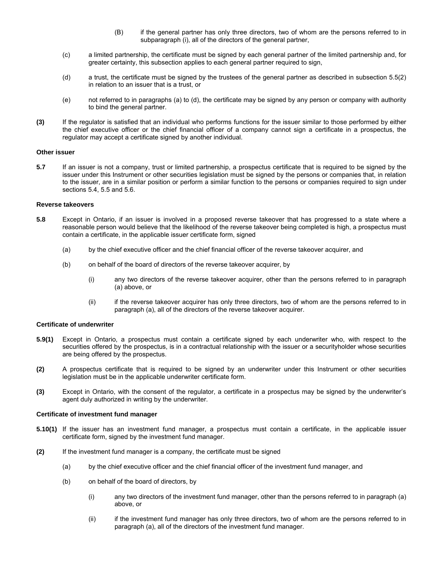- (B) if the general partner has only three directors, two of whom are the persons referred to in subparagraph (i), all of the directors of the general partner,
- (c) a limited partnership, the certificate must be signed by each general partner of the limited partnership and, for greater certainty, this subsection applies to each general partner required to sign,
- (d) a trust, the certificate must be signed by the trustees of the general partner as described in subsection 5.5(2) in relation to an issuer that is a trust, or
- (e) not referred to in paragraphs (a) to (d), the certificate may be signed by any person or company with authority to bind the general partner.
- **(3)** If the regulator is satisfied that an individual who performs functions for the issuer similar to those performed by either the chief executive officer or the chief financial officer of a company cannot sign a certificate in a prospectus, the regulator may accept a certificate signed by another individual.

#### **Other issuer**

**5.7** If an issuer is not a company, trust or limited partnership, a prospectus certificate that is required to be signed by the issuer under this Instrument or other securities legislation must be signed by the persons or companies that, in relation to the issuer, are in a similar position or perform a similar function to the persons or companies required to sign under sections 5.4, 5.5 and 5.6.

#### **Reverse takeovers**

- **5.8** Except in Ontario, if an issuer is involved in a proposed reverse takeover that has progressed to a state where a reasonable person would believe that the likelihood of the reverse takeover being completed is high, a prospectus must contain a certificate, in the applicable issuer certificate form, signed
	- (a) by the chief executive officer and the chief financial officer of the reverse takeover acquirer, and
	- (b) on behalf of the board of directors of the reverse takeover acquirer, by
		- (i) any two directors of the reverse takeover acquirer, other than the persons referred to in paragraph (a) above, or
		- (ii) if the reverse takeover acquirer has only three directors, two of whom are the persons referred to in paragraph (a), all of the directors of the reverse takeover acquirer.

# **Certificate of underwriter**

- **5.9(1)** Except in Ontario, a prospectus must contain a certificate signed by each underwriter who, with respect to the securities offered by the prospectus, is in a contractual relationship with the issuer or a securityholder whose securities are being offered by the prospectus.
- **(2)** A prospectus certificate that is required to be signed by an underwriter under this Instrument or other securities legislation must be in the applicable underwriter certificate form.
- **(3)** Except in Ontario, with the consent of the regulator, a certificate in a prospectus may be signed by the underwriter's agent duly authorized in writing by the underwriter.

#### **Certificate of investment fund manager**

- **5.10(1)** If the issuer has an investment fund manager, a prospectus must contain a certificate, in the applicable issuer certificate form, signed by the investment fund manager.
- **(2)** If the investment fund manager is a company, the certificate must be signed
	- (a) by the chief executive officer and the chief financial officer of the investment fund manager, and
	- (b) on behalf of the board of directors, by
		- (i) any two directors of the investment fund manager, other than the persons referred to in paragraph (a) above, or
		- (ii) if the investment fund manager has only three directors, two of whom are the persons referred to in paragraph (a), all of the directors of the investment fund manager.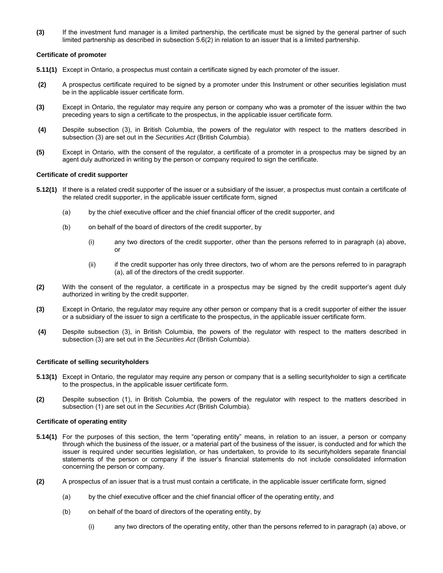**(3)** If the investment fund manager is a limited partnership, the certificate must be signed by the general partner of such limited partnership as described in subsection 5.6(2) in relation to an issuer that is a limited partnership.

# **Certificate of promoter**

- **5.11(1)** Except in Ontario, a prospectus must contain a certificate signed by each promoter of the issuer.
- **(2)** A prospectus certificate required to be signed by a promoter under this Instrument or other securities legislation must be in the applicable issuer certificate form.
- **(3)** Except in Ontario, the regulator may require any person or company who was a promoter of the issuer within the two preceding years to sign a certificate to the prospectus, in the applicable issuer certificate form.
- **(4)** Despite subsection (3), in British Columbia, the powers of the regulator with respect to the matters described in subsection (3) are set out in the *Securities Act* (British Columbia).
- **(5)** Except in Ontario, with the consent of the regulator, a certificate of a promoter in a prospectus may be signed by an agent duly authorized in writing by the person or company required to sign the certificate.

# **Certificate of credit supporter**

- **5.12(1)** If there is a related credit supporter of the issuer or a subsidiary of the issuer, a prospectus must contain a certificate of the related credit supporter, in the applicable issuer certificate form, signed
	- (a) by the chief executive officer and the chief financial officer of the credit supporter, and
	- (b) on behalf of the board of directors of the credit supporter, by
		- (i) any two directors of the credit supporter, other than the persons referred to in paragraph (a) above, or
		- (ii) if the credit supporter has only three directors, two of whom are the persons referred to in paragraph (a), all of the directors of the credit supporter.
- **(2)** With the consent of the regulator, a certificate in a prospectus may be signed by the credit supporter's agent duly authorized in writing by the credit supporter.
- **(3)** Except in Ontario, the regulator may require any other person or company that is a credit supporter of either the issuer or a subsidiary of the issuer to sign a certificate to the prospectus, in the applicable issuer certificate form.
- **(4)** Despite subsection (3), in British Columbia, the powers of the regulator with respect to the matters described in subsection (3) are set out in the *Securities Act* (British Columbia).

# **Certificate of selling securityholders**

- **5.13(1)** Except in Ontario, the regulator may require any person or company that is a selling securityholder to sign a certificate to the prospectus, in the applicable issuer certificate form.
- **(2)** Despite subsection (1), in British Columbia, the powers of the regulator with respect to the matters described in subsection (1) are set out in the *Securities Act* (British Columbia).

#### **Certificate of operating entity**

- **5.14(1)** For the purposes of this section, the term "operating entity" means, in relation to an issuer, a person or company through which the business of the issuer, or a material part of the business of the issuer, is conducted and for which the issuer is required under securities legislation, or has undertaken, to provide to its securityholders separate financial statements of the person or company if the issuer's financial statements do not include consolidated information concerning the person or company.
- **(2)** A prospectus of an issuer that is a trust must contain a certificate, in the applicable issuer certificate form, signed
	- (a) by the chief executive officer and the chief financial officer of the operating entity, and
	- (b) on behalf of the board of directors of the operating entity, by
		- (i) any two directors of the operating entity, other than the persons referred to in paragraph (a) above, or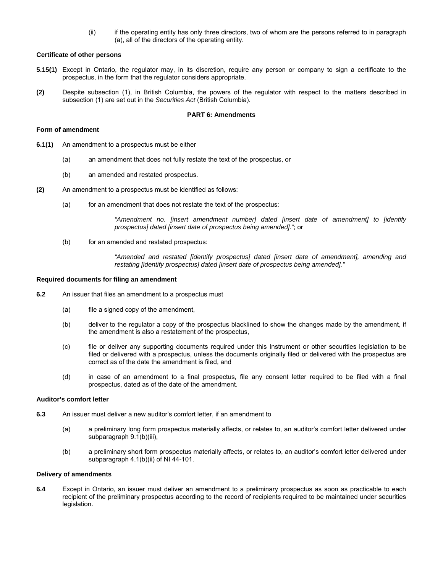(ii) if the operating entity has only three directors, two of whom are the persons referred to in paragraph (a), all of the directors of the operating entity.

# **Certificate of other persons**

- **5.15(1)** Except in Ontario, the regulator may, in its discretion, require any person or company to sign a certificate to the prospectus, in the form that the regulator considers appropriate.
- **(2)** Despite subsection (1), in British Columbia, the powers of the regulator with respect to the matters described in subsection (1) are set out in the *Securities Act* (British Columbia).

# **PART 6: Amendments**

#### **Form of amendment**

- **6.1(1)** An amendment to a prospectus must be either
	- (a) an amendment that does not fully restate the text of the prospectus, or
	- (b) an amended and restated prospectus.
- **(2)** An amendment to a prospectus must be identified as follows:
	- (a) for an amendment that does not restate the text of the prospectus:

*"Amendment no. [insert amendment number] dated [insert date of amendment] to [identify prospectus] dated [insert date of prospectus being amended]."*; or

(b) for an amended and restated prospectus:

*"Amended and restated [identify prospectus] dated [insert date of amendment], amending and restating [identify prospectus] dated [insert date of prospectus being amended]."* 

# **Required documents for filing an amendment**

- **6.2** An issuer that files an amendment to a prospectus must
	- (a) file a signed copy of the amendment,
	- (b) deliver to the regulator a copy of the prospectus blacklined to show the changes made by the amendment, if the amendment is also a restatement of the prospectus,
	- (c) file or deliver any supporting documents required under this Instrument or other securities legislation to be filed or delivered with a prospectus, unless the documents originally filed or delivered with the prospectus are correct as of the date the amendment is filed, and
	- (d) in case of an amendment to a final prospectus, file any consent letter required to be filed with a final prospectus, dated as of the date of the amendment.

#### **Auditor's comfort letter**

- **6.3** An issuer must deliver a new auditor's comfort letter, if an amendment to
	- (a) a preliminary long form prospectus materially affects, or relates to, an auditor's comfort letter delivered under subparagraph 9.1(b)(iii),
	- (b) a preliminary short form prospectus materially affects, or relates to, an auditor's comfort letter delivered under subparagraph 4.1(b)(ii) of NI 44-101.

# **Delivery of amendments**

**6.4** Except in Ontario, an issuer must deliver an amendment to a preliminary prospectus as soon as practicable to each recipient of the preliminary prospectus according to the record of recipients required to be maintained under securities legislation.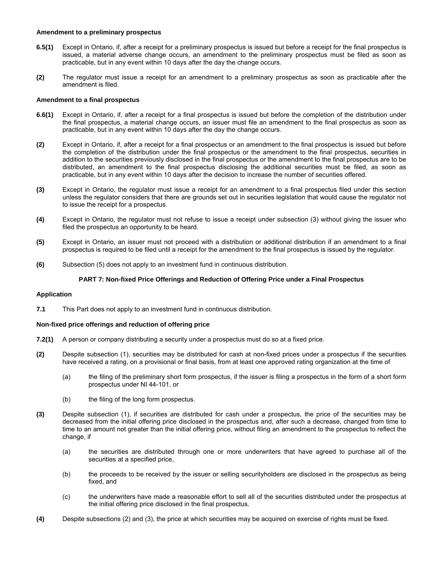#### **Amendment to a preliminary prospectus**

- **6.5(1)** Except in Ontario, if, after a receipt for a preliminary prospectus is issued but before a receipt for the final prospectus is issued, a material adverse change occurs, an amendment to the preliminary prospectus must be filed as soon as practicable, but in any event within 10 days after the day the change occurs.
- **(2)** The regulator must issue a receipt for an amendment to a preliminary prospectus as soon as practicable after the amendment is filed.

#### **Amendment to a final prospectus**

- **6.6(1)** Except in Ontario, if, after a receipt for a final prospectus is issued but before the completion of the distribution under the final prospectus, a material change occurs, an issuer must file an amendment to the final prospectus as soon as practicable, but in any event within 10 days after the day the change occurs.
- **(2)** Except in Ontario, if, after a receipt for a final prospectus or an amendment to the final prospectus is issued but before the completion of the distribution under the final prospectus or the amendment to the final prospectus, securities in addition to the securities previously disclosed in the final prospectus or the amendment to the final prospectus are to be distributed, an amendment to the final prospectus disclosing the additional securities must be filed, as soon as practicable, but in any event within 10 days after the decision to increase the number of securities offered.
- **(3)** Except in Ontario, the regulator must issue a receipt for an amendment to a final prospectus filed under this section unless the regulator considers that there are grounds set out in securities legislation that would cause the regulator not to issue the receipt for a prospectus.
- **(4)** Except in Ontario, the regulator must not refuse to issue a receipt under subsection (3) without giving the issuer who filed the prospectus an opportunity to be heard.
- **(5)** Except in Ontario, an issuer must not proceed with a distribution or additional distribution if an amendment to a final prospectus is required to be filed until a receipt for the amendment to the final prospectus is issued by the regulator.
- **(6)** Subsection (5) does not apply to an investment fund in continuous distribution.

#### **PART 7: Non-fixed Price Offerings and Reduction of Offering Price under a Final Prospectus**

#### **Application**

**7.1** This Part does not apply to an investment fund in continuous distribution.

# **Non-fixed price offerings and reduction of offering price**

- **7.2(1)** A person or company distributing a security under a prospectus must do so at a fixed price.
- **(2)** Despite subsection (1), securities may be distributed for cash at non-fixed prices under a prospectus if the securities have received a rating, on a provisional or final basis, from at least one approved rating organization at the time of
	- (a) the filing of the preliminary short form prospectus, if the issuer is filing a prospectus in the form of a short form prospectus under NI 44-101, or
	- (b) the filing of the long form prospectus.
- **(3)** Despite subsection (1), if securities are distributed for cash under a prospectus, the price of the securities may be decreased from the initial offering price disclosed in the prospectus and, after such a decrease, changed from time to time to an amount not greater than the initial offering price, without filing an amendment to the prospectus to reflect the change, if
	- (a) the securities are distributed through one or more underwriters that have agreed to purchase all of the securities at a specified price,
	- (b) the proceeds to be received by the issuer or selling securityholders are disclosed in the prospectus as being fixed, and
	- (c) the underwriters have made a reasonable effort to sell all of the securities distributed under the prospectus at the initial offering price disclosed in the final prospectus.
- **(4)** Despite subsections (2) and (3), the price at which securities may be acquired on exercise of rights must be fixed.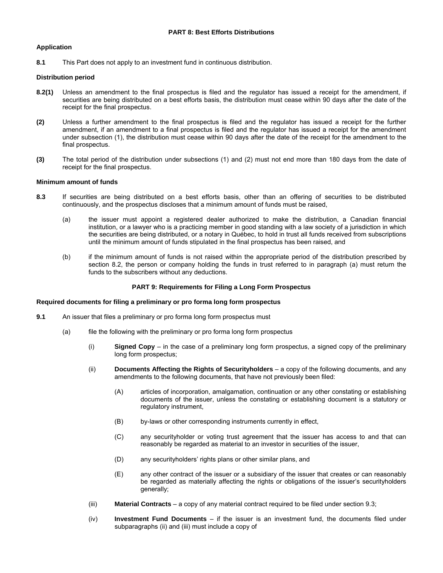# **Application**

**8.1** This Part does not apply to an investment fund in continuous distribution.

# **Distribution period**

- **8.2(1)** Unless an amendment to the final prospectus is filed and the regulator has issued a receipt for the amendment, if securities are being distributed on a best efforts basis, the distribution must cease within 90 days after the date of the receipt for the final prospectus.
- **(2)** Unless a further amendment to the final prospectus is filed and the regulator has issued a receipt for the further amendment, if an amendment to a final prospectus is filed and the regulator has issued a receipt for the amendment under subsection (1), the distribution must cease within 90 days after the date of the receipt for the amendment to the final prospectus.
- **(3)** The total period of the distribution under subsections (1) and (2) must not end more than 180 days from the date of receipt for the final prospectus.

#### **Minimum amount of funds**

- **8.3** If securities are being distributed on a best efforts basis, other than an offering of securities to be distributed continuously, and the prospectus discloses that a minimum amount of funds must be raised,
	- (a) the issuer must appoint a registered dealer authorized to make the distribution, a Canadian financial institution, or a lawyer who is a practicing member in good standing with a law society of a jurisdiction in which the securities are being distributed, or a notary in Québec, to hold in trust all funds received from subscriptions until the minimum amount of funds stipulated in the final prospectus has been raised, and
	- (b) if the minimum amount of funds is not raised within the appropriate period of the distribution prescribed by section 8.2, the person or company holding the funds in trust referred to in paragraph (a) must return the funds to the subscribers without any deductions.

#### **PART 9: Requirements for Filing a Long Form Prospectus**

#### **Required documents for filing a preliminary or pro forma long form prospectus**

- **9.1** An issuer that files a preliminary or pro forma long form prospectus must
	- (a) file the following with the preliminary or pro forma long form prospectus
		- (i) **Signed Copy** in the case of a preliminary long form prospectus, a signed copy of the preliminary long form prospectus;
		- (ii) **Documents Affecting the Rights of Securityholders** a copy of the following documents, and any amendments to the following documents, that have not previously been filed:
			- (A) articles of incorporation, amalgamation, continuation or any other constating or establishing documents of the issuer, unless the constating or establishing document is a statutory or regulatory instrument,
			- (B) by-laws or other corresponding instruments currently in effect,
			- (C) any securityholder or voting trust agreement that the issuer has access to and that can reasonably be regarded as material to an investor in securities of the issuer,
			- (D) any securityholders' rights plans or other similar plans, and
			- (E) any other contract of the issuer or a subsidiary of the issuer that creates or can reasonably be regarded as materially affecting the rights or obligations of the issuer's securityholders generally;
		- (iii) **Material Contracts**  a copy of any material contract required to be filed under section 9.3;
		- (iv) **Investment Fund Documents**  if the issuer is an investment fund, the documents filed under subparagraphs (ii) and (iii) must include a copy of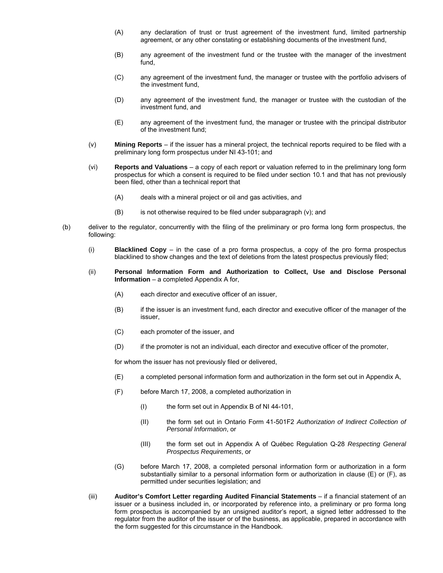- (A) any declaration of trust or trust agreement of the investment fund, limited partnership agreement, or any other constating or establishing documents of the investment fund,
- (B) any agreement of the investment fund or the trustee with the manager of the investment fund,
- (C) any agreement of the investment fund, the manager or trustee with the portfolio advisers of the investment fund,
- (D) any agreement of the investment fund, the manager or trustee with the custodian of the investment fund, and
- (E) any agreement of the investment fund, the manager or trustee with the principal distributor of the investment fund;
- (v) **Mining Reports** if the issuer has a mineral project, the technical reports required to be filed with a preliminary long form prospectus under NI 43-101; and
- (vi) **Reports and Valuations**  a copy of each report or valuation referred to in the preliminary long form prospectus for which a consent is required to be filed under section 10.1 and that has not previously been filed, other than a technical report that
	- (A) deals with a mineral project or oil and gas activities, and
	- (B) is not otherwise required to be filed under subparagraph (v); and
- (b) deliver to the regulator, concurrently with the filing of the preliminary or pro forma long form prospectus, the following:
	- (i) **Blacklined Copy** in the case of a pro forma prospectus, a copy of the pro forma prospectus blacklined to show changes and the text of deletions from the latest prospectus previously filed;
	- (ii) **Personal Information Form and Authorization to Collect, Use and Disclose Personal Information** – a completed Appendix A for,
		- (A) each director and executive officer of an issuer,
		- (B) if the issuer is an investment fund, each director and executive officer of the manager of the issuer,
		- (C) each promoter of the issuer, and
		- (D) if the promoter is not an individual, each director and executive officer of the promoter,

for whom the issuer has not previously filed or delivered,

- (E) a completed personal information form and authorization in the form set out in Appendix A,
- (F) before March 17, 2008, a completed authorization in
	- (I) the form set out in Appendix B of NI 44-101,
	- (II) the form set out in Ontario Form 41-501F2 *Authorization of Indirect Collection of Personal Information*, or
	- (III) the form set out in Appendix A of Québec Regulation Q-28 *Respecting General Prospectus Requirements*, or
- (G) before March 17, 2008, a completed personal information form or authorization in a form substantially similar to a personal information form or authorization in clause (E) or (F), as permitted under securities legislation; and
- (iii) **Auditor's Comfort Letter regarding Audited Financial Statements** if a financial statement of an issuer or a business included in, or incorporated by reference into, a preliminary or pro forma long form prospectus is accompanied by an unsigned auditor's report, a signed letter addressed to the regulator from the auditor of the issuer or of the business, as applicable, prepared in accordance with the form suggested for this circumstance in the Handbook.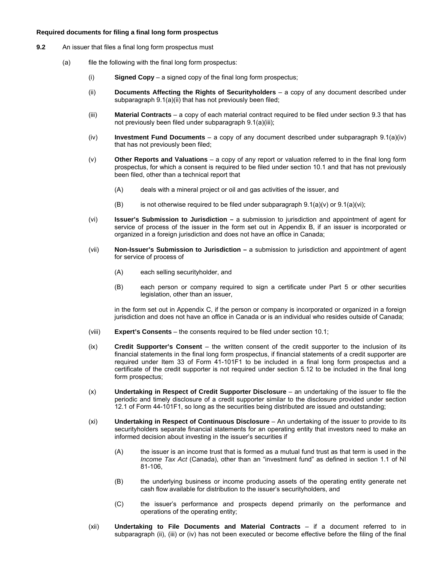#### **Required documents for filing a final long form prospectus**

- **9.2** An issuer that files a final long form prospectus must
	- (a) file the following with the final long form prospectus:
		- (i) **Signed Copy** a signed copy of the final long form prospectus;
		- (ii) **Documents Affecting the Rights of Securityholders** a copy of any document described under subparagraph 9.1(a)(ii) that has not previously been filed;
		- (iii) **Material Contracts** a copy of each material contract required to be filed under section 9.3 that has not previously been filed under subparagraph 9.1(a)(iii);
		- (iv) **Investment Fund Documents** a copy of any document described under subparagraph 9.1(a)(iv) that has not previously been filed;
		- (v) **Other Reports and Valuations** a copy of any report or valuation referred to in the final long form prospectus, for which a consent is required to be filed under section 10.1 and that has not previously been filed, other than a technical report that
			- (A) deals with a mineral project or oil and gas activities of the issuer, and
			- (B) is not otherwise required to be filed under subparagraph  $9.1(a)(v)$  or  $9.1(a)(vi)$ ;
		- (vi) **Issuer's Submission to Jurisdiction** a submission to jurisdiction and appointment of agent for service of process of the issuer in the form set out in Appendix B, if an issuer is incorporated or organized in a foreign jurisdiction and does not have an office in Canada;
		- (vii) **Non-Issuer's Submission to Jurisdiction** a submission to jurisdiction and appointment of agent for service of process of
			- (A) each selling securityholder, and
			- (B) each person or company required to sign a certificate under Part 5 or other securities legislation, other than an issuer,

in the form set out in Appendix C, if the person or company is incorporated or organized in a foreign jurisdiction and does not have an office in Canada or is an individual who resides outside of Canada;

- (viii) **Expert's Consents** the consents required to be filed under section 10.1;
- (ix) **Credit Supporter's Consent** the written consent of the credit supporter to the inclusion of its financial statements in the final long form prospectus, if financial statements of a credit supporter are required under Item 33 of Form 41-101F1 to be included in a final long form prospectus and a certificate of the credit supporter is not required under section 5.12 to be included in the final long form prospectus;
- (x) **Undertaking in Respect of Credit Supporter Disclosure** an undertaking of the issuer to file the periodic and timely disclosure of a credit supporter similar to the disclosure provided under section 12.1 of Form 44-101F1, so long as the securities being distributed are issued and outstanding;
- (xi) **Undertaking in Respect of Continuous Disclosure** An undertaking of the issuer to provide to its securityholders separate financial statements for an operating entity that investors need to make an informed decision about investing in the issuer's securities if
	- (A) the issuer is an income trust that is formed as a mutual fund trust as that term is used in the *Income Tax Act* (Canada), other than an "investment fund" as defined in section 1.1 of NI 81-106,
	- (B) the underlying business or income producing assets of the operating entity generate net cash flow available for distribution to the issuer's securityholders, and
	- (C) the issuer's performance and prospects depend primarily on the performance and operations of the operating entity;
- (xii) **Undertaking to File Documents and Material Contracts** if a document referred to in subparagraph (ii), (iii) or (iv) has not been executed or become effective before the filing of the final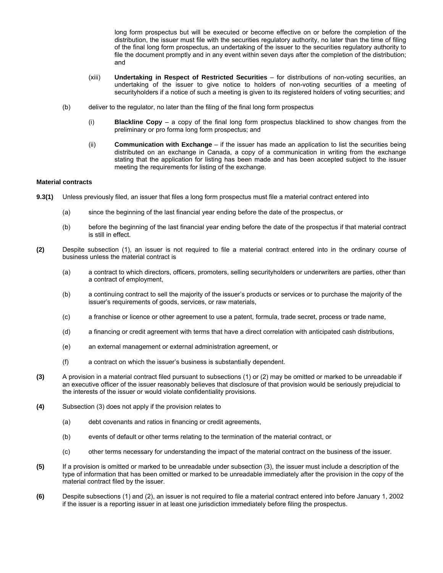long form prospectus but will be executed or become effective on or before the completion of the distribution, the issuer must file with the securities regulatory authority, no later than the time of filing of the final long form prospectus, an undertaking of the issuer to the securities regulatory authority to file the document promptly and in any event within seven days after the completion of the distribution; and

- (xiii) **Undertaking in Respect of Restricted Securities** for distributions of non-voting securities, an undertaking of the issuer to give notice to holders of non-voting securities of a meeting of securityholders if a notice of such a meeting is given to its registered holders of voting securities; and
- (b) deliver to the regulator, no later than the filing of the final long form prospectus
	- (i) **Blackline Copy**  a copy of the final long form prospectus blacklined to show changes from the preliminary or pro forma long form prospectus; and
	- (ii) **Communication with Exchange**  if the issuer has made an application to list the securities being distributed on an exchange in Canada, a copy of a communication in writing from the exchange stating that the application for listing has been made and has been accepted subject to the issuer meeting the requirements for listing of the exchange.

#### **Material contracts**

- **9.3(1)** Unless previously filed, an issuer that files a long form prospectus must file a material contract entered into
	- (a) since the beginning of the last financial year ending before the date of the prospectus, or
	- (b) before the beginning of the last financial year ending before the date of the prospectus if that material contract is still in effect.
- **(2)** Despite subsection (1), an issuer is not required to file a material contract entered into in the ordinary course of business unless the material contract is
	- (a) a contract to which directors, officers, promoters, selling securityholders or underwriters are parties, other than a contract of employment,
	- (b) a continuing contract to sell the majority of the issuer's products or services or to purchase the majority of the issuer's requirements of goods, services, or raw materials,
	- (c) a franchise or licence or other agreement to use a patent, formula, trade secret, process or trade name,
	- (d) a financing or credit agreement with terms that have a direct correlation with anticipated cash distributions,
	- (e) an external management or external administration agreement, or
	- (f) a contract on which the issuer's business is substantially dependent.
- **(3)** A provision in a material contract filed pursuant to subsections (1) or (2) may be omitted or marked to be unreadable if an executive officer of the issuer reasonably believes that disclosure of that provision would be seriously prejudicial to the interests of the issuer or would violate confidentiality provisions.
- **(4)** Subsection (3) does not apply if the provision relates to
	- (a) debt covenants and ratios in financing or credit agreements,
	- (b) events of default or other terms relating to the termination of the material contract, or
	- (c) other terms necessary for understanding the impact of the material contract on the business of the issuer.
- **(5)** If a provision is omitted or marked to be unreadable under subsection (3), the issuer must include a description of the type of information that has been omitted or marked to be unreadable immediately after the provision in the copy of the material contract filed by the issuer.
- **(6)** Despite subsections (1) and (2), an issuer is not required to file a material contract entered into before January 1, 2002 if the issuer is a reporting issuer in at least one jurisdiction immediately before filing the prospectus.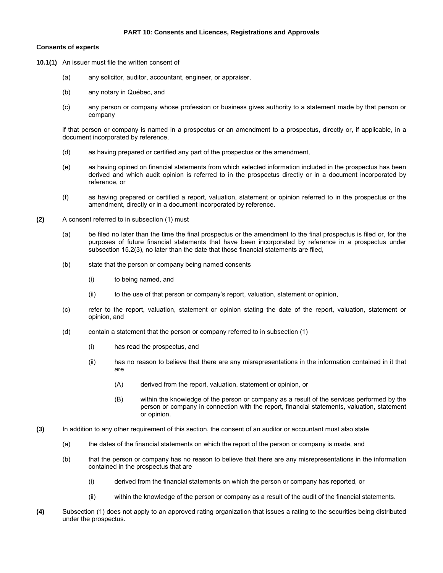#### **Consents of experts**

- **10.1(1)** An issuer must file the written consent of
	- (a) any solicitor, auditor, accountant, engineer, or appraiser,
	- (b) any notary in Québec, and
	- (c) any person or company whose profession or business gives authority to a statement made by that person or company

if that person or company is named in a prospectus or an amendment to a prospectus, directly or, if applicable, in a document incorporated by reference,

- (d) as having prepared or certified any part of the prospectus or the amendment,
- (e) as having opined on financial statements from which selected information included in the prospectus has been derived and which audit opinion is referred to in the prospectus directly or in a document incorporated by reference, or
- (f) as having prepared or certified a report, valuation, statement or opinion referred to in the prospectus or the amendment, directly or in a document incorporated by reference.
- **(2)** A consent referred to in subsection (1) must
	- (a) be filed no later than the time the final prospectus or the amendment to the final prospectus is filed or, for the purposes of future financial statements that have been incorporated by reference in a prospectus under subsection 15.2(3), no later than the date that those financial statements are filed,
	- (b) state that the person or company being named consents
		- (i) to being named, and
		- (ii) to the use of that person or company's report, valuation, statement or opinion,
	- (c) refer to the report, valuation, statement or opinion stating the date of the report, valuation, statement or opinion, and
	- (d) contain a statement that the person or company referred to in subsection (1)
		- (i) has read the prospectus, and
		- (ii) has no reason to believe that there are any misrepresentations in the information contained in it that are
			- (A) derived from the report, valuation, statement or opinion, or
			- (B) within the knowledge of the person or company as a result of the services performed by the person or company in connection with the report, financial statements, valuation, statement or opinion.
- **(3)** In addition to any other requirement of this section, the consent of an auditor or accountant must also state
	- (a) the dates of the financial statements on which the report of the person or company is made, and
	- (b) that the person or company has no reason to believe that there are any misrepresentations in the information contained in the prospectus that are
		- (i) derived from the financial statements on which the person or company has reported, or
		- (ii) within the knowledge of the person or company as a result of the audit of the financial statements.
- **(4)** Subsection (1) does not apply to an approved rating organization that issues a rating to the securities being distributed under the prospectus.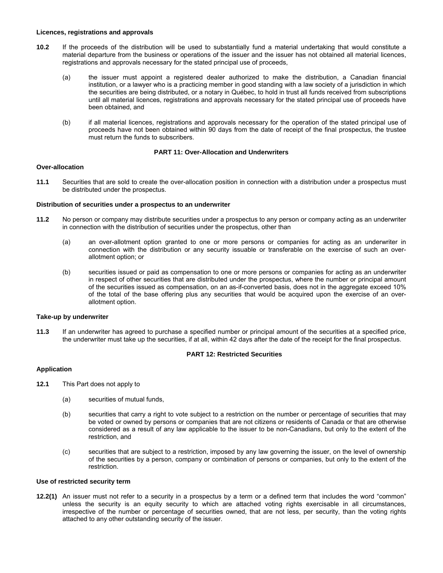#### **Licences, registrations and approvals**

- **10.2** If the proceeds of the distribution will be used to substantially fund a material undertaking that would constitute a material departure from the business or operations of the issuer and the issuer has not obtained all material licences, registrations and approvals necessary for the stated principal use of proceeds,
	- (a) the issuer must appoint a registered dealer authorized to make the distribution, a Canadian financial institution, or a lawyer who is a practicing member in good standing with a law society of a jurisdiction in which the securities are being distributed, or a notary in Québec, to hold in trust all funds received from subscriptions until all material licences, registrations and approvals necessary for the stated principal use of proceeds have been obtained, and
	- (b) if all material licences, registrations and approvals necessary for the operation of the stated principal use of proceeds have not been obtained within 90 days from the date of receipt of the final prospectus, the trustee must return the funds to subscribers.

#### **PART 11: Over-Allocation and Underwriters**

# **Over-allocation**

**11.1** Securities that are sold to create the over-allocation position in connection with a distribution under a prospectus must be distributed under the prospectus.

#### **Distribution of securities under a prospectus to an underwriter**

- **11.2** No person or company may distribute securities under a prospectus to any person or company acting as an underwriter in connection with the distribution of securities under the prospectus, other than
	- (a) an over-allotment option granted to one or more persons or companies for acting as an underwriter in connection with the distribution or any security issuable or transferable on the exercise of such an overallotment option; or
	- (b) securities issued or paid as compensation to one or more persons or companies for acting as an underwriter in respect of other securities that are distributed under the prospectus, where the number or principal amount of the securities issued as compensation, on an as-if-converted basis, does not in the aggregate exceed 10% of the total of the base offering plus any securities that would be acquired upon the exercise of an overallotment option.

#### **Take-up by underwriter**

**11.3** If an underwriter has agreed to purchase a specified number or principal amount of the securities at a specified price, the underwriter must take up the securities, if at all, within 42 days after the date of the receipt for the final prospectus.

# **PART 12: Restricted Securities**

#### **Application**

- **12.1** This Part does not apply to
	- (a) securities of mutual funds,
	- (b) securities that carry a right to vote subject to a restriction on the number or percentage of securities that may be voted or owned by persons or companies that are not citizens or residents of Canada or that are otherwise considered as a result of any law applicable to the issuer to be non-Canadians, but only to the extent of the restriction, and
	- (c) securities that are subject to a restriction, imposed by any law governing the issuer, on the level of ownership of the securities by a person, company or combination of persons or companies, but only to the extent of the restriction.

#### **Use of restricted security term**

**12.2(1)** An issuer must not refer to a security in a prospectus by a term or a defined term that includes the word "common" unless the security is an equity security to which are attached voting rights exercisable in all circumstances, irrespective of the number or percentage of securities owned, that are not less, per security, than the voting rights attached to any other outstanding security of the issuer.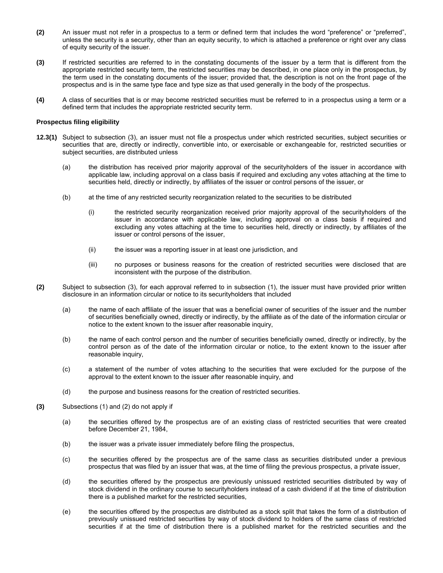- **(2)** An issuer must not refer in a prospectus to a term or defined term that includes the word "preference" or "preferred", unless the security is a security, other than an equity security, to which is attached a preference or right over any class of equity security of the issuer.
- **(3)** If restricted securities are referred to in the constating documents of the issuer by a term that is different from the appropriate restricted security term, the restricted securities may be described, in one place only in the prospectus, by the term used in the constating documents of the issuer; provided that, the description is not on the front page of the prospectus and is in the same type face and type size as that used generally in the body of the prospectus.
- **(4)** A class of securities that is or may become restricted securities must be referred to in a prospectus using a term or a defined term that includes the appropriate restricted security term.

# **Prospectus filing eligibility**

- **12.3(1)** Subject to subsection (3), an issuer must not file a prospectus under which restricted securities, subject securities or securities that are, directly or indirectly, convertible into, or exercisable or exchangeable for, restricted securities or subject securities, are distributed unless
	- (a) the distribution has received prior majority approval of the securityholders of the issuer in accordance with applicable law, including approval on a class basis if required and excluding any votes attaching at the time to securities held, directly or indirectly, by affiliates of the issuer or control persons of the issuer, or
	- (b) at the time of any restricted security reorganization related to the securities to be distributed
		- (i) the restricted security reorganization received prior majority approval of the securityholders of the issuer in accordance with applicable law, including approval on a class basis if required and excluding any votes attaching at the time to securities held, directly or indirectly, by affiliates of the issuer or control persons of the issuer,
		- (ii) the issuer was a reporting issuer in at least one jurisdiction, and
		- (iii) no purposes or business reasons for the creation of restricted securities were disclosed that are inconsistent with the purpose of the distribution.
- **(2)** Subject to subsection (3), for each approval referred to in subsection (1), the issuer must have provided prior written disclosure in an information circular or notice to its securityholders that included
	- (a) the name of each affiliate of the issuer that was a beneficial owner of securities of the issuer and the number of securities beneficially owned, directly or indirectly, by the affiliate as of the date of the information circular or notice to the extent known to the issuer after reasonable inquiry,
	- (b) the name of each control person and the number of securities beneficially owned, directly or indirectly, by the control person as of the date of the information circular or notice, to the extent known to the issuer after reasonable inquiry,
	- (c) a statement of the number of votes attaching to the securities that were excluded for the purpose of the approval to the extent known to the issuer after reasonable inquiry, and
	- (d) the purpose and business reasons for the creation of restricted securities.
- **(3)** Subsections (1) and (2) do not apply if
	- (a) the securities offered by the prospectus are of an existing class of restricted securities that were created before December 21, 1984,
	- (b) the issuer was a private issuer immediately before filing the prospectus,
	- (c) the securities offered by the prospectus are of the same class as securities distributed under a previous prospectus that was filed by an issuer that was, at the time of filing the previous prospectus, a private issuer,
	- (d) the securities offered by the prospectus are previously unissued restricted securities distributed by way of stock dividend in the ordinary course to securityholders instead of a cash dividend if at the time of distribution there is a published market for the restricted securities,
	- (e) the securities offered by the prospectus are distributed as a stock split that takes the form of a distribution of previously unissued restricted securities by way of stock dividend to holders of the same class of restricted securities if at the time of distribution there is a published market for the restricted securities and the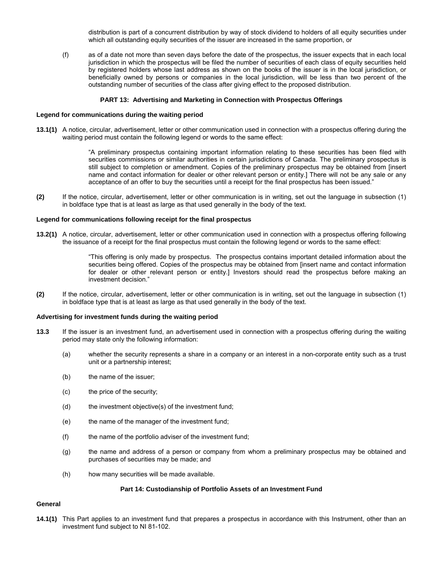distribution is part of a concurrent distribution by way of stock dividend to holders of all equity securities under which all outstanding equity securities of the issuer are increased in the same proportion, or

(f) as of a date not more than seven days before the date of the prospectus, the issuer expects that in each local jurisdiction in which the prospectus will be filed the number of securities of each class of equity securities held by registered holders whose last address as shown on the books of the issuer is in the local jurisdiction, or beneficially owned by persons or companies in the local jurisdiction, will be less than two percent of the outstanding number of securities of the class after giving effect to the proposed distribution.

# **PART 13: Advertising and Marketing in Connection with Prospectus Offerings**

# **Legend for communications during the waiting period**

**13.1(1)** A notice, circular, advertisement, letter or other communication used in connection with a prospectus offering during the waiting period must contain the following legend or words to the same effect:

> "A preliminary prospectus containing important information relating to these securities has been filed with securities commissions or similar authorities in certain jurisdictions of Canada. The preliminary prospectus is still subject to completion or amendment. Copies of the preliminary prospectus may be obtained from [insert name and contact information for dealer or other relevant person or entity.] There will not be any sale or any acceptance of an offer to buy the securities until a receipt for the final prospectus has been issued."

**(2)** If the notice, circular, advertisement, letter or other communication is in writing, set out the language in subsection (1) in boldface type that is at least as large as that used generally in the body of the text.

#### **Legend for communications following receipt for the final prospectus**

**13.2(1)** A notice, circular, advertisement, letter or other communication used in connection with a prospectus offering following the issuance of a receipt for the final prospectus must contain the following legend or words to the same effect:

> "This offering is only made by prospectus. The prospectus contains important detailed information about the securities being offered. Copies of the prospectus may be obtained from [insert name and contact information for dealer or other relevant person or entity.] Investors should read the prospectus before making an investment decision."

**(2)** If the notice, circular, advertisement, letter or other communication is in writing, set out the language in subsection (1) in boldface type that is at least as large as that used generally in the body of the text.

#### **Advertising for investment funds during the waiting period**

- **13.3** If the issuer is an investment fund, an advertisement used in connection with a prospectus offering during the waiting period may state only the following information:
	- (a) whether the security represents a share in a company or an interest in a non-corporate entity such as a trust unit or a partnership interest;
	- (b) the name of the issuer;
	- (c) the price of the security;
	- (d) the investment objective(s) of the investment fund;
	- (e) the name of the manager of the investment fund;
	- (f) the name of the portfolio adviser of the investment fund;
	- (g) the name and address of a person or company from whom a preliminary prospectus may be obtained and purchases of securities may be made; and
	- (h) how many securities will be made available.

#### **Part 14: Custodianship of Portfolio Assets of an Investment Fund**

# **General**

**14.1(1)** This Part applies to an investment fund that prepares a prospectus in accordance with this Instrument, other than an investment fund subject to NI 81-102.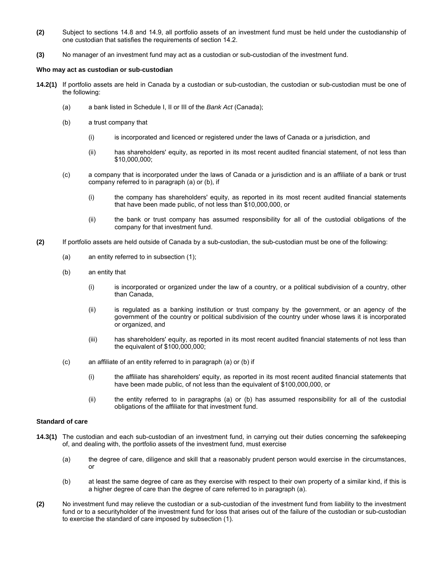- **(2)** Subject to sections 14.8 and 14.9, all portfolio assets of an investment fund must be held under the custodianship of one custodian that satisfies the requirements of section 14.2.
- **(3)** No manager of an investment fund may act as a custodian or sub-custodian of the investment fund.

#### **Who may act as custodian or sub-custodian**

- **14.2(1)** If portfolio assets are held in Canada by a custodian or sub-custodian, the custodian or sub-custodian must be one of the following:
	- (a) a bank listed in Schedule I, II or III of the *Bank Act* (Canada);
	- (b) a trust company that
		- (i) is incorporated and licenced or registered under the laws of Canada or a jurisdiction, and
		- (ii) has shareholders' equity, as reported in its most recent audited financial statement, of not less than \$10,000,000;
	- (c) a company that is incorporated under the laws of Canada or a jurisdiction and is an affiliate of a bank or trust company referred to in paragraph (a) or (b), if
		- (i) the company has shareholders' equity, as reported in its most recent audited financial statements that have been made public, of not less than \$10,000,000, or
		- (ii) the bank or trust company has assumed responsibility for all of the custodial obligations of the company for that investment fund.
- **(2)** If portfolio assets are held outside of Canada by a sub-custodian, the sub-custodian must be one of the following:
	- (a) an entity referred to in subsection (1);
	- (b) an entity that
		- (i) is incorporated or organized under the law of a country, or a political subdivision of a country, other than Canada,
		- (ii) is regulated as a banking institution or trust company by the government, or an agency of the government of the country or political subdivision of the country under whose laws it is incorporated or organized, and
		- (iii) has shareholders' equity, as reported in its most recent audited financial statements of not less than the equivalent of \$100,000,000;
	- (c) an affiliate of an entity referred to in paragraph (a) or (b) if
		- (i) the affiliate has shareholders' equity, as reported in its most recent audited financial statements that have been made public, of not less than the equivalent of \$100,000,000, or
		- (ii) the entity referred to in paragraphs (a) or (b) has assumed responsibility for all of the custodial obligations of the affiliate for that investment fund.

# **Standard of care**

- **14.3(1)** The custodian and each sub-custodian of an investment fund, in carrying out their duties concerning the safekeeping of, and dealing with, the portfolio assets of the investment fund, must exercise
	- (a) the degree of care, diligence and skill that a reasonably prudent person would exercise in the circumstances, or
	- (b) at least the same degree of care as they exercise with respect to their own property of a similar kind, if this is a higher degree of care than the degree of care referred to in paragraph (a).
- **(2)** No investment fund may relieve the custodian or a sub-custodian of the investment fund from liability to the investment fund or to a securityholder of the investment fund for loss that arises out of the failure of the custodian or sub-custodian to exercise the standard of care imposed by subsection (1).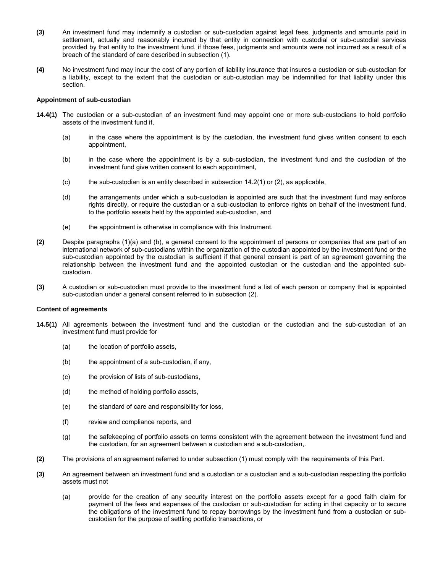- **(3)** An investment fund may indemnify a custodian or sub-custodian against legal fees, judgments and amounts paid in settlement, actually and reasonably incurred by that entity in connection with custodial or sub-custodial services provided by that entity to the investment fund, if those fees, judgments and amounts were not incurred as a result of a breach of the standard of care described in subsection (1).
- **(4)** No investment fund may incur the cost of any portion of liability insurance that insures a custodian or sub-custodian for a liability, except to the extent that the custodian or sub-custodian may be indemnified for that liability under this section.

#### **Appointment of sub-custodian**

- **14.4(1)** The custodian or a sub-custodian of an investment fund may appoint one or more sub-custodians to hold portfolio assets of the investment fund if,
	- (a) in the case where the appointment is by the custodian, the investment fund gives written consent to each appointment,
	- (b) in the case where the appointment is by a sub-custodian, the investment fund and the custodian of the investment fund give written consent to each appointment,
	- $(c)$  the sub-custodian is an entity described in subsection 14.2(1) or (2), as applicable,
	- (d) the arrangements under which a sub-custodian is appointed are such that the investment fund may enforce rights directly, or require the custodian or a sub-custodian to enforce rights on behalf of the investment fund, to the portfolio assets held by the appointed sub-custodian, and
	- (e) the appointment is otherwise in compliance with this Instrument.
- **(2)** Despite paragraphs (1)(a) and (b), a general consent to the appointment of persons or companies that are part of an international network of sub-custodians within the organization of the custodian appointed by the investment fund or the sub-custodian appointed by the custodian is sufficient if that general consent is part of an agreement governing the relationship between the investment fund and the appointed custodian or the custodian and the appointed subcustodian.
- **(3)** A custodian or sub-custodian must provide to the investment fund a list of each person or company that is appointed sub-custodian under a general consent referred to in subsection (2).

#### **Content of agreements**

- **14.5(1)** All agreements between the investment fund and the custodian or the custodian and the sub-custodian of an investment fund must provide for
	- (a) the location of portfolio assets,
	- (b) the appointment of a sub-custodian, if any,
	- (c) the provision of lists of sub-custodians,
	- (d) the method of holding portfolio assets,
	- (e) the standard of care and responsibility for loss,
	- (f) review and compliance reports, and
	- (g) the safekeeping of portfolio assets on terms consistent with the agreement between the investment fund and the custodian, for an agreement between a custodian and a sub-custodian,.
- **(2)** The provisions of an agreement referred to under subsection (1) must comply with the requirements of this Part.
- **(3)** An agreement between an investment fund and a custodian or a custodian and a sub-custodian respecting the portfolio assets must not
	- (a) provide for the creation of any security interest on the portfolio assets except for a good faith claim for payment of the fees and expenses of the custodian or sub-custodian for acting in that capacity or to secure the obligations of the investment fund to repay borrowings by the investment fund from a custodian or subcustodian for the purpose of settling portfolio transactions, or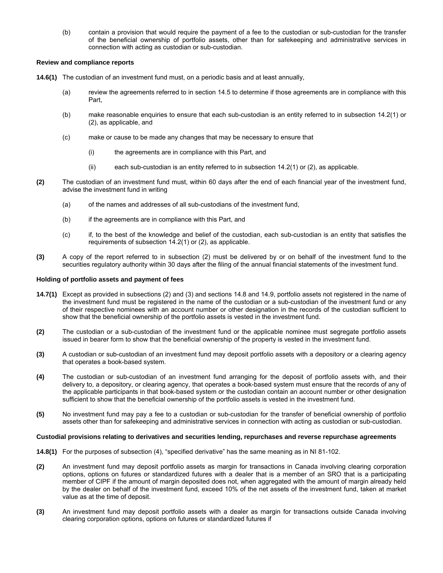(b) contain a provision that would require the payment of a fee to the custodian or sub-custodian for the transfer of the beneficial ownership of portfolio assets, other than for safekeeping and administrative services in connection with acting as custodian or sub-custodian.

# **Review and compliance reports**

- **14.6(1)** The custodian of an investment fund must, on a periodic basis and at least annually,
	- (a) review the agreements referred to in section 14.5 to determine if those agreements are in compliance with this Part,
	- (b) make reasonable enquiries to ensure that each sub-custodian is an entity referred to in subsection 14.2(1) or (2), as applicable, and
	- (c) make or cause to be made any changes that may be necessary to ensure that
		- (i) the agreements are in compliance with this Part, and
		- (ii) each sub-custodian is an entity referred to in subsection  $14.2(1)$  or  $(2)$ , as applicable.
- **(2)** The custodian of an investment fund must, within 60 days after the end of each financial year of the investment fund, advise the investment fund in writing
	- (a) of the names and addresses of all sub-custodians of the investment fund,
	- (b) if the agreements are in compliance with this Part, and
	- (c) if, to the best of the knowledge and belief of the custodian, each sub-custodian is an entity that satisfies the requirements of subsection 14.2(1) or (2), as applicable.
- **(3)** A copy of the report referred to in subsection (2) must be delivered by or on behalf of the investment fund to the securities regulatory authority within 30 days after the filing of the annual financial statements of the investment fund.

#### **Holding of portfolio assets and payment of fees**

- **14.7(1)** Except as provided in subsections (2) and (3) and sections 14.8 and 14.9, portfolio assets not registered in the name of the investment fund must be registered in the name of the custodian or a sub-custodian of the investment fund or any of their respective nominees with an account number or other designation in the records of the custodian sufficient to show that the beneficial ownership of the portfolio assets is vested in the investment fund.
- **(2)** The custodian or a sub-custodian of the investment fund or the applicable nominee must segregate portfolio assets issued in bearer form to show that the beneficial ownership of the property is vested in the investment fund.
- **(3)** A custodian or sub-custodian of an investment fund may deposit portfolio assets with a depository or a clearing agency that operates a book-based system.
- **(4)** The custodian or sub-custodian of an investment fund arranging for the deposit of portfolio assets with, and their delivery to, a depository, or clearing agency, that operates a book-based system must ensure that the records of any of the applicable participants in that book-based system or the custodian contain an account number or other designation sufficient to show that the beneficial ownership of the portfolio assets is vested in the investment fund.
- **(5)** No investment fund may pay a fee to a custodian or sub-custodian for the transfer of beneficial ownership of portfolio assets other than for safekeeping and administrative services in connection with acting as custodian or sub-custodian.

#### **Custodial provisions relating to derivatives and securities lending, repurchases and reverse repurchase agreements**

- **14.8(1)** For the purposes of subsection (4), "specified derivative" has the same meaning as in NI 81-102.
- **(2)** An investment fund may deposit portfolio assets as margin for transactions in Canada involving clearing corporation options, options on futures or standardized futures with a dealer that is a member of an SRO that is a participating member of CIPF if the amount of margin deposited does not, when aggregated with the amount of margin already held by the dealer on behalf of the investment fund, exceed 10% of the net assets of the investment fund, taken at market value as at the time of deposit.
- **(3)** An investment fund may deposit portfolio assets with a dealer as margin for transactions outside Canada involving clearing corporation options, options on futures or standardized futures if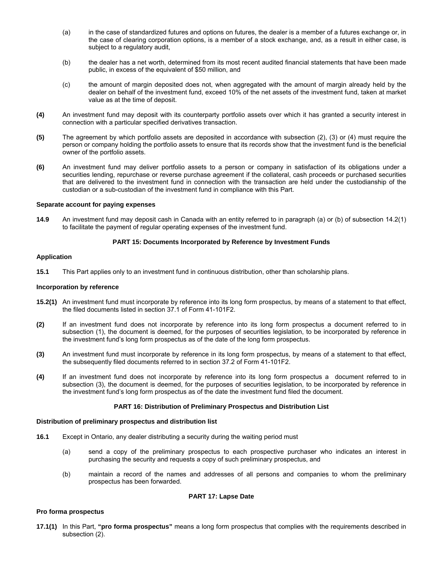- (a) in the case of standardized futures and options on futures, the dealer is a member of a futures exchange or, in the case of clearing corporation options, is a member of a stock exchange, and, as a result in either case, is subject to a regulatory audit,
- (b) the dealer has a net worth, determined from its most recent audited financial statements that have been made public, in excess of the equivalent of \$50 million, and
- (c) the amount of margin deposited does not, when aggregated with the amount of margin already held by the dealer on behalf of the investment fund, exceed 10% of the net assets of the investment fund, taken at market value as at the time of deposit.
- **(4)** An investment fund may deposit with its counterparty portfolio assets over which it has granted a security interest in connection with a particular specified derivatives transaction.
- **(5)** The agreement by which portfolio assets are deposited in accordance with subsection (2), (3) or (4) must require the person or company holding the portfolio assets to ensure that its records show that the investment fund is the beneficial owner of the portfolio assets.
- **(6)** An investment fund may deliver portfolio assets to a person or company in satisfaction of its obligations under a securities lending, repurchase or reverse purchase agreement if the collateral, cash proceeds or purchased securities that are delivered to the investment fund in connection with the transaction are held under the custodianship of the custodian or a sub-custodian of the investment fund in compliance with this Part.

#### **Separate account for paying expenses**

**14.9** An investment fund may deposit cash in Canada with an entity referred to in paragraph (a) or (b) of subsection 14.2(1) to facilitate the payment of regular operating expenses of the investment fund.

# **PART 15: Documents Incorporated by Reference by Investment Funds**

#### **Application**

**15.1** This Part applies only to an investment fund in continuous distribution, other than scholarship plans.

#### **Incorporation by reference**

- **15.2(1)** An investment fund must incorporate by reference into its long form prospectus, by means of a statement to that effect, the filed documents listed in section 37.1 of Form 41-101F2.
- **(2)** If an investment fund does not incorporate by reference into its long form prospectus a document referred to in subsection (1), the document is deemed, for the purposes of securities legislation, to be incorporated by reference in the investment fund's long form prospectus as of the date of the long form prospectus.
- **(3)** An investment fund must incorporate by reference in its long form prospectus, by means of a statement to that effect, the subsequently filed documents referred to in section 37.2 of Form 41-101F2.
- **(4)** If an investment fund does not incorporate by reference into its long form prospectus a document referred to in subsection (3), the document is deemed, for the purposes of securities legislation, to be incorporated by reference in the investment fund's long form prospectus as of the date the investment fund filed the document.

#### **PART 16: Distribution of Preliminary Prospectus and Distribution List**

#### **Distribution of preliminary prospectus and distribution list**

- **16.1** Except in Ontario, any dealer distributing a security during the waiting period must
	- (a) send a copy of the preliminary prospectus to each prospective purchaser who indicates an interest in purchasing the security and requests a copy of such preliminary prospectus, and
	- (b) maintain a record of the names and addresses of all persons and companies to whom the preliminary prospectus has been forwarded.

# **PART 17: Lapse Date**

# **Pro forma prospectus**

**17.1(1)** In this Part, **"pro forma prospectus"** means a long form prospectus that complies with the requirements described in subsection (2).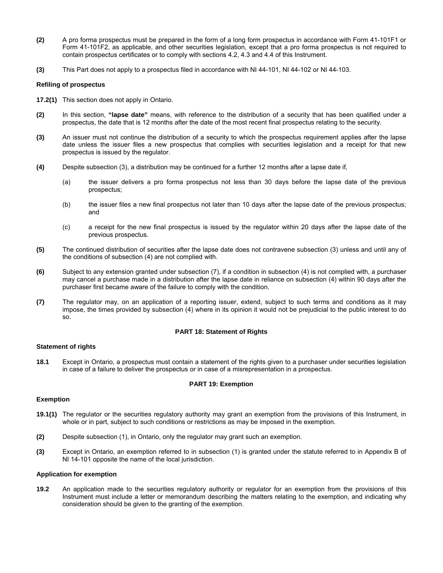- **(2)** A pro forma prospectus must be prepared in the form of a long form prospectus in accordance with Form 41-101F1 or Form 41-101F2, as applicable, and other securities legislation, except that a pro forma prospectus is not required to contain prospectus certificates or to comply with sections 4.2, 4.3 and 4.4 of this Instrument.
- **(3)** This Part does not apply to a prospectus filed in accordance with NI 44-101, NI 44-102 or NI 44-103.

#### **Refiling of prospectus**

- **17.2(1)** This section does not apply in Ontario.
- **(2)** In this section, **"lapse date"** means, with reference to the distribution of a security that has been qualified under a prospectus, the date that is 12 months after the date of the most recent final prospectus relating to the security.
- **(3)** An issuer must not continue the distribution of a security to which the prospectus requirement applies after the lapse date unless the issuer files a new prospectus that complies with securities legislation and a receipt for that new prospectus is issued by the regulator.
- **(4)** Despite subsection (3), a distribution may be continued for a further 12 months after a lapse date if,
	- (a) the issuer delivers a pro forma prospectus not less than 30 days before the lapse date of the previous prospectus;
	- (b) the issuer files a new final prospectus not later than 10 days after the lapse date of the previous prospectus; and
	- (c) a receipt for the new final prospectus is issued by the regulator within 20 days after the lapse date of the previous prospectus.
- **(5)** The continued distribution of securities after the lapse date does not contravene subsection (3) unless and until any of the conditions of subsection (4) are not complied with.
- **(6)** Subject to any extension granted under subsection (7), if a condition in subsection (4) is not complied with, a purchaser may cancel a purchase made in a distribution after the lapse date in reliance on subsection (4) within 90 days after the purchaser first became aware of the failure to comply with the condition.
- **(7)** The regulator may, on an application of a reporting issuer, extend, subject to such terms and conditions as it may impose, the times provided by subsection (4) where in its opinion it would not be prejudicial to the public interest to do so.

# **PART 18: Statement of Rights**

# **Statement of rights**

**18.1** Except in Ontario, a prospectus must contain a statement of the rights given to a purchaser under securities legislation in case of a failure to deliver the prospectus or in case of a misrepresentation in a prospectus.

# **PART 19: Exemption**

# **Exemption**

- **19.1(1)** The regulator or the securities regulatory authority may grant an exemption from the provisions of this Instrument, in whole or in part, subject to such conditions or restrictions as may be imposed in the exemption.
- **(2)** Despite subsection (1), in Ontario, only the regulator may grant such an exemption.
- **(3)** Except in Ontario, an exemption referred to in subsection (1) is granted under the statute referred to in Appendix B of NI 14-101 opposite the name of the local jurisdiction.

#### **Application for exemption**

**19.2** An application made to the securities regulatory authority or regulator for an exemption from the provisions of this Instrument must include a letter or memorandum describing the matters relating to the exemption, and indicating why consideration should be given to the granting of the exemption.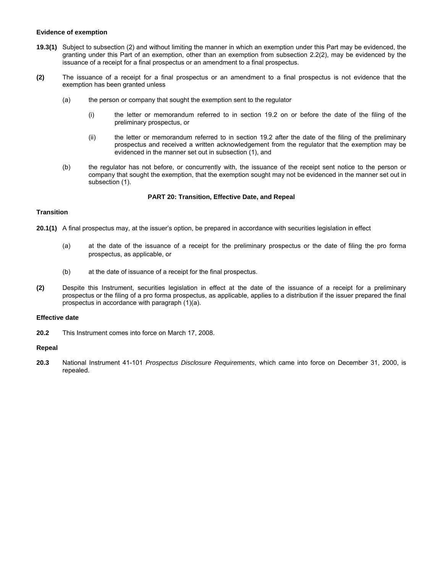#### **Evidence of exemption**

- **19.3(1)** Subject to subsection (2) and without limiting the manner in which an exemption under this Part may be evidenced, the granting under this Part of an exemption, other than an exemption from subsection 2.2(2), may be evidenced by the issuance of a receipt for a final prospectus or an amendment to a final prospectus.
- **(2)** The issuance of a receipt for a final prospectus or an amendment to a final prospectus is not evidence that the exemption has been granted unless
	- (a) the person or company that sought the exemption sent to the regulator
		- (i) the letter or memorandum referred to in section 19.2 on or before the date of the filing of the preliminary prospectus, or
		- (ii) the letter or memorandum referred to in section 19.2 after the date of the filing of the preliminary prospectus and received a written acknowledgement from the regulator that the exemption may be evidenced in the manner set out in subsection (1), and
	- (b) the regulator has not before, or concurrently with, the issuance of the receipt sent notice to the person or company that sought the exemption, that the exemption sought may not be evidenced in the manner set out in subsection (1).

#### **PART 20: Transition, Effective Date, and Repeal**

#### **Transition**

**20.1(1)** A final prospectus may, at the issuer's option, be prepared in accordance with securities legislation in effect

- (a) at the date of the issuance of a receipt for the preliminary prospectus or the date of filing the pro forma prospectus, as applicable, or
- (b) at the date of issuance of a receipt for the final prospectus.
- **(2)** Despite this Instrument, securities legislation in effect at the date of the issuance of a receipt for a preliminary prospectus or the filing of a pro forma prospectus, as applicable, applies to a distribution if the issuer prepared the final prospectus in accordance with paragraph (1)(a).

# **Effective date**

**20.2** This Instrument comes into force on March 17, 2008.

# **Repeal**

**20.3** National Instrument 41-101 *Prospectus Disclosure Requirements*, which came into force on December 31, 2000, is repealed.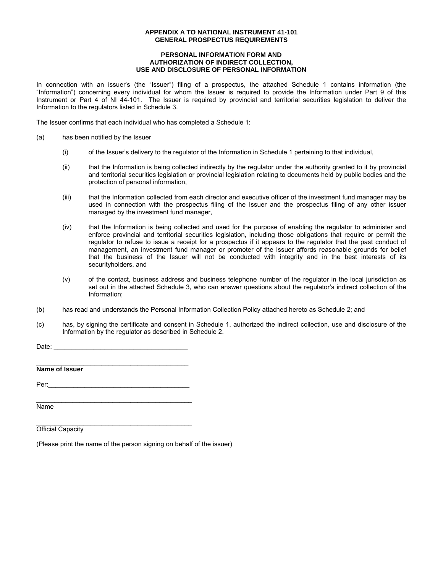# **APPENDIX A TO NATIONAL INSTRUMENT 41-101 GENERAL PROSPECTUS REQUIREMENTS**

# **PERSONAL INFORMATION FORM AND AUTHORIZATION OF INDIRECT COLLECTION, USE AND DISCLOSURE OF PERSONAL INFORMATION**

In connection with an issuer's (the "Issuer") filing of a prospectus, the attached Schedule 1 contains information (the "Information") concerning every individual for whom the Issuer is required to provide the Information under Part 9 of this Instrument or Part 4 of NI 44-101. The Issuer is required by provincial and territorial securities legislation to deliver the Information to the regulators listed in Schedule 3.

The Issuer confirms that each individual who has completed a Schedule 1:

- (a) has been notified by the Issuer
	- (i) of the Issuer's delivery to the regulator of the Information in Schedule 1 pertaining to that individual,
	- (ii) that the Information is being collected indirectly by the regulator under the authority granted to it by provincial and territorial securities legislation or provincial legislation relating to documents held by public bodies and the protection of personal information,
	- (iii) that the Information collected from each director and executive officer of the investment fund manager may be used in connection with the prospectus filing of the Issuer and the prospectus filing of any other issuer managed by the investment fund manager,
	- (iv) that the Information is being collected and used for the purpose of enabling the regulator to administer and enforce provincial and territorial securities legislation, including those obligations that require or permit the regulator to refuse to issue a receipt for a prospectus if it appears to the regulator that the past conduct of management, an investment fund manager or promoter of the Issuer affords reasonable grounds for belief that the business of the Issuer will not be conducted with integrity and in the best interests of its securityholders, and
	- (v) of the contact, business address and business telephone number of the regulator in the local jurisdiction as set out in the attached Schedule 3, who can answer questions about the regulator's indirect collection of the Information;
- (b) has read and understands the Personal Information Collection Policy attached hereto as Schedule 2; and
- (c) has, by signing the certificate and consent in Schedule 1, authorized the indirect collection, use and disclosure of the Information by the regulator as described in Schedule 2.

Date: \_\_\_\_\_\_\_\_\_\_\_\_\_\_\_\_\_\_\_\_\_\_\_\_\_\_\_\_\_\_\_\_\_\_\_\_\_

\_\_\_\_\_\_\_\_\_\_\_\_\_\_\_\_\_\_\_\_\_\_\_\_\_\_\_\_\_\_\_\_\_\_\_\_\_\_\_\_\_\_

\_\_\_\_\_\_\_\_\_\_\_\_\_\_\_\_\_\_\_\_\_\_\_\_\_\_\_\_\_\_\_\_\_\_\_\_\_\_\_\_\_\_\_

**Name of Issuer** 

Per:\_\_\_\_\_\_\_\_\_\_\_\_\_\_\_\_\_\_\_\_\_\_\_\_\_\_\_\_\_\_\_\_\_\_\_\_\_\_\_

Name

\_\_\_\_\_\_\_\_\_\_\_\_\_\_\_\_\_\_\_\_\_\_\_\_\_\_\_\_\_\_\_\_\_\_\_\_\_\_\_\_\_\_\_ **Official Capacity** 

(Please print the name of the person signing on behalf of the issuer)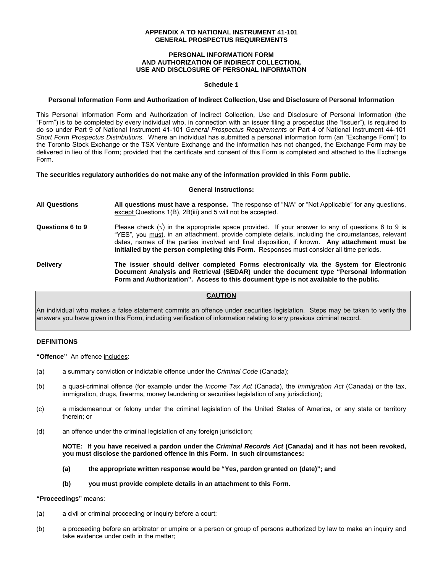# **APPENDIX A TO NATIONAL INSTRUMENT 41-101 GENERAL PROSPECTUS REQUIREMENTS**

# **PERSONAL INFORMATION FORM AND AUTHORIZATION OF INDIRECT COLLECTION, USE AND DISCLOSURE OF PERSONAL INFORMATION**

# **Schedule 1**

# **Personal Information Form and Authorization of Indirect Collection, Use and Disclosure of Personal Information**

This Personal Information Form and Authorization of Indirect Collection, Use and Disclosure of Personal Information (the "Form") is to be completed by every individual who, in connection with an issuer filing a prospectus (the "Issuer"), is required to do so under Part 9 of National Instrument 41-101 *General Prospectus Requirements* or Part 4 of National Instrument 44-101 *Short Form Prospectus Distributions*. Where an individual has submitted a personal information form (an "Exchange Form") to the Toronto Stock Exchange or the TSX Venture Exchange and the information has not changed, the Exchange Form may be delivered in lieu of this Form; provided that the certificate and consent of this Form is completed and attached to the Exchange Form.

# **The securities regulatory authorities do not make any of the information provided in this Form public.**

#### **General Instructions:**

- **All Questions All questions must have a response.** The response of "N/A" or "Not Applicable" for any questions, except Questions 1(B), 2B(iii) and 5 will not be accepted.
- **Questions 6 to 9** Please check (√) in the appropriate space provided. If your answer to any of questions 6 to 9 is "YES", you must, in an attachment, provide complete details, including the circumstances, relevant dates, names of the parties involved and final disposition, if known. **Any attachment must be initialled by the person completing this Form.** Responses must consider all time periods.

**Delivery The issuer should deliver completed Forms electronically via the System for Electronic Document Analysis and Retrieval (SEDAR) under the document type "Personal Information Form and Authorization". Access to this document type is not available to the public.** 

# **CAUTION**

An individual who makes a false statement commits an offence under securities legislation. Steps may be taken to verify the answers you have given in this Form, including verification of information relating to any previous criminal record.

# **DEFINITIONS**

**"Offence"** An offence includes:

- (a) a summary conviction or indictable offence under the *Criminal Code* (Canada);
- (b) a quasi-criminal offence (for example under the *Income Tax Act* (Canada), the *Immigration Act* (Canada) or the tax, immigration, drugs, firearms, money laundering or securities legislation of any jurisdiction);
- (c) a misdemeanour or felony under the criminal legislation of the United States of America, or any state or territory therein; or
- (d) an offence under the criminal legislation of any foreign jurisdiction;

**NOTE: If you have received a pardon under the** *Criminal Records Act* **(Canada) and it has not been revoked, you must disclose the pardoned offence in this Form. In such circumstances:** 

- **(a) the appropriate written response would be "Yes, pardon granted on (date)"; and**
- **(b) you must provide complete details in an attachment to this Form.**

#### **"Proceedings"** means:

- (a) a civil or criminal proceeding or inquiry before a court;
- (b) a proceeding before an arbitrator or umpire or a person or group of persons authorized by law to make an inquiry and take evidence under oath in the matter;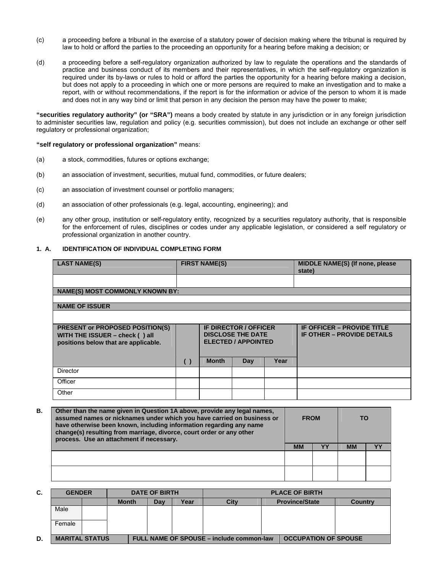- (c) a proceeding before a tribunal in the exercise of a statutory power of decision making where the tribunal is required by law to hold or afford the parties to the proceeding an opportunity for a hearing before making a decision; or
- (d) a proceeding before a self-regulatory organization authorized by law to regulate the operations and the standards of practice and business conduct of its members and their representatives, in which the self-regulatory organization is required under its by-laws or rules to hold or afford the parties the opportunity for a hearing before making a decision, but does not apply to a proceeding in which one or more persons are required to make an investigation and to make a report, with or without recommendations, if the report is for the information or advice of the person to whom it is made and does not in any way bind or limit that person in any decision the person may have the power to make;

**"securities regulatory authority" (or "SRA")** means a body created by statute in any jurisdiction or in any foreign jurisdiction to administer securities law, regulation and policy (e.g. securities commission), but does not include an exchange or other self regulatory or professional organization;

#### **"self regulatory or professional organization"** means:

- (a) a stock, commodities, futures or options exchange;
- (b) an association of investment, securities, mutual fund, commodities, or future dealers;
- (c) an association of investment counsel or portfolio managers;
- (d) an association of other professionals (e.g. legal, accounting, engineering); and
- (e) any other group, institution or self-regulatory entity, recognized by a securities regulatory authority, that is responsible for the enforcement of rules, disciplines or codes under any applicable legislation, or considered a self regulatory or professional organization in another country.

#### **1. A. IDENTIFICATION OF INDIVIDUAL COMPLETING FORM**

| <b>LAST NAME(S)</b>                                                                                              | <b>FIRST NAME(S)</b>   |                                                                                        |            | MIDDLE NAME(S) (If none, please<br>state) |                                                                        |
|------------------------------------------------------------------------------------------------------------------|------------------------|----------------------------------------------------------------------------------------|------------|-------------------------------------------|------------------------------------------------------------------------|
|                                                                                                                  |                        |                                                                                        |            |                                           |                                                                        |
| <b>NAME(S) MOST COMMONLY KNOWN BY:</b>                                                                           |                        |                                                                                        |            |                                           |                                                                        |
|                                                                                                                  |                        |                                                                                        |            |                                           |                                                                        |
| <b>NAME OF ISSUER</b>                                                                                            |                        |                                                                                        |            |                                           |                                                                        |
|                                                                                                                  |                        |                                                                                        |            |                                           |                                                                        |
| <b>PRESENT or PROPOSED POSITION(S)</b><br>WITH THE ISSUER - check () all<br>positions below that are applicable. |                        | <b>IF DIRECTOR / OFFICER</b><br><b>DISCLOSE THE DATE</b><br><b>ELECTED / APPOINTED</b> |            |                                           | <b>IF OFFICER - PROVIDE TITLE</b><br><b>IF OTHER - PROVIDE DETAILS</b> |
|                                                                                                                  | $\left( \quad \right)$ | <b>Month</b>                                                                           | <b>Day</b> | Year                                      |                                                                        |
| <b>Director</b>                                                                                                  |                        |                                                                                        |            |                                           |                                                                        |
| Officer                                                                                                          |                        |                                                                                        |            |                                           |                                                                        |
| Other                                                                                                            |                        |                                                                                        |            |                                           |                                                                        |

| В. | Other than the name given in Question 1A above, provide any legal names,<br>assumed names or nicknames under which you have carried on business or<br>have otherwise been known, including information regarding any name<br>change(s) resulting from marriage, divorce, court order or any other<br>process. Use an attachment if necessary. |           | <b>FROM</b> |           | ΤО |  |
|----|-----------------------------------------------------------------------------------------------------------------------------------------------------------------------------------------------------------------------------------------------------------------------------------------------------------------------------------------------|-----------|-------------|-----------|----|--|
|    |                                                                                                                                                                                                                                                                                                                                               | <b>MM</b> | v١          | <b>MM</b> |    |  |
|    |                                                                                                                                                                                                                                                                                                                                               |           |             |           |    |  |
|    |                                                                                                                                                                                                                                                                                                                                               |           |             |           |    |  |

| C. | <b>GENDER</b>         |  |              | <b>DATE OF BIRTH</b> |      | <b>PLACE OF BIRTH</b>                    |  |                             |         |
|----|-----------------------|--|--------------|----------------------|------|------------------------------------------|--|-----------------------------|---------|
|    |                       |  | <b>Month</b> | Dav                  | Year | Citv                                     |  | <b>Province/State</b>       | Country |
|    | Male                  |  |              |                      |      |                                          |  |                             |         |
|    | Female                |  |              |                      |      |                                          |  |                             |         |
| D. | <b>MARITAL STATUS</b> |  |              |                      |      | FULL NAME OF SPOUSE - include common-law |  | <b>OCCUPATION OF SPOUSE</b> |         |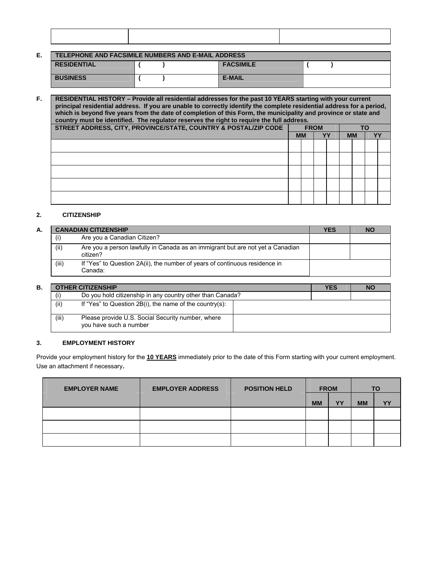# **E. TELEPHONE AND FACSIMILE NUMBERS AND E-MAIL ADDRESS**

| <b>RESIDENTIAL</b> |  |  | <b>FACSIMILE</b> |  |  |  |  |  |
|--------------------|--|--|------------------|--|--|--|--|--|
| <b>BUSINESS</b>    |  |  | <b>E-MAIL</b>    |  |  |  |  |  |

# **F. RESIDENTIAL HISTORY – Provide all residential addresses for the past 10 YEARS starting with your current principal residential address. If you are unable to correctly identify the complete residential address for a period, which is beyond five years from the date of completion of this Form, the municipality and province or state and country must be identified. The regulator reserves the right to require the full address. STREET ADDRESS, CITY, PROVINCE/STATE, COUNTRY & POSTAL/ZIP CODE FROM TO BUY FROM TO A LITT AND TO A LITT AND T MM YY MM YY**

# **2. CITIZENSHIP**

| А. |       | <b>CANADIAN CITIZENSHIP</b>                                                                | <b>YES</b> | <b>NO</b> |
|----|-------|--------------------------------------------------------------------------------------------|------------|-----------|
|    | (i)   | Are you a Canadian Citizen?                                                                |            |           |
|    | (ii)  | Are you a person lawfully in Canada as an immigrant but are not yet a Canadian<br>citizen? |            |           |
|    | (iii) | If "Yes" to Question 2A(ii), the number of years of continuous residence in<br>Canada:     |            |           |

| В. |       | <b>OTHER CITIZENSHIP</b>                                                    | <b>YES</b> | <b>NO</b> |
|----|-------|-----------------------------------------------------------------------------|------------|-----------|
|    | (i)   | Do you hold citizenship in any country other than Canada?                   |            |           |
|    | (ii)  | If "Yes" to Question 2B(i), the name of the country(s):                     |            |           |
|    | (iii) | Please provide U.S. Social Security number, where<br>you have such a number |            |           |

# **3. EMPLOYMENT HISTORY**

Provide your employment history for the **10 YEARS** immediately prior to the date of this Form starting with your current employment. Use an attachment if necessary.

| <b>EMPLOYER NAME</b> | <b>EMPLOYER ADDRESS</b> | <b>POSITION HELD</b> | <b>FROM</b> |    | <b>TO</b> |    |  |  |
|----------------------|-------------------------|----------------------|-------------|----|-----------|----|--|--|
|                      |                         |                      | <b>MM</b>   | YY | <b>MM</b> | YY |  |  |
|                      |                         |                      |             |    |           |    |  |  |
|                      |                         |                      |             |    |           |    |  |  |
|                      |                         |                      |             |    |           |    |  |  |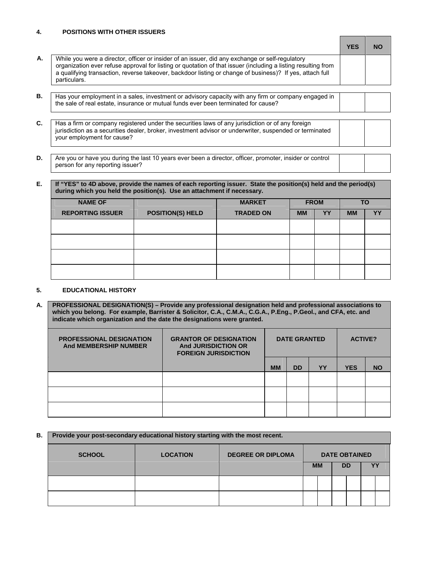# **4. POSITIONS WITH OTHER ISSUERS**

|    |                                                                                                                                                                                                                                                                                                                                              | <b>YES</b> | NO |
|----|----------------------------------------------------------------------------------------------------------------------------------------------------------------------------------------------------------------------------------------------------------------------------------------------------------------------------------------------|------------|----|
| А. | While you were a director, officer or insider of an issuer, did any exchange or self-regulatory<br>organization ever refuse approval for listing or quotation of that issuer (including a listing resulting from<br>a qualifying transaction, reverse takeover, backdoor listing or change of business)? If yes, attach full<br>particulars. |            |    |

| Has your employment in a sales, investment or advisory capacity with any firm or company engaged in |  |
|-----------------------------------------------------------------------------------------------------|--|
| the sale of real estate, insurance or mutual funds ever been terminated for cause?                  |  |

| $C.$ Has a firm or company registered under the securities laws of any jurisdiction or of any foreign   |  |
|---------------------------------------------------------------------------------------------------------|--|
| jurisdiction as a securities dealer, broker, investment advisor or underwriter, suspended or terminated |  |
| your employment for cause?                                                                              |  |

| <b>D.</b> $\vert$ Are you or have you during the last 10 years ever been a director, officer, promoter, insider or control |  |
|----------------------------------------------------------------------------------------------------------------------------|--|
| person for any reporting issuer?                                                                                           |  |

# **E. If "YES" to 4D above, provide the names of each reporting issuer. State the position(s) held and the period(s) during which you held the position(s). Use an attachment if necessary.**

| <b>NAME OF</b>          |                         | <b>MARKET</b>    |           | <b>FROM</b> |           | ΤO |
|-------------------------|-------------------------|------------------|-----------|-------------|-----------|----|
| <b>REPORTING ISSUER</b> | <b>POSITION(S) HELD</b> | <b>TRADED ON</b> | <b>MM</b> | YY          | <b>MM</b> | YY |
|                         |                         |                  |           |             |           |    |
|                         |                         |                  |           |             |           |    |
|                         |                         |                  |           |             |           |    |
|                         |                         |                  |           |             |           |    |
|                         |                         |                  |           |             |           |    |
|                         |                         |                  |           |             |           |    |

# **5. EDUCATIONAL HISTORY**

#### **A. PROFESSIONAL DESIGNATION(S) – Provide any professional designation held and professional associations to which you belong. For example, Barrister & Solicitor, C.A., C.M.A., C.G.A., P.Eng., P.Geol., and CFA, etc. and indicate which organization and the date the designations were granted.**

| <b>PROFESSIONAL DESIGNATION</b><br><b>And MEMBERSHIP NUMBER</b> | <b>GRANTOR OF DESIGNATION</b><br><b>And JURISDICTION OR</b><br><b>FOREIGN JURISDICTION</b> |           | <b>DATE GRANTED</b> |    | <b>ACTIVE?</b> |           |
|-----------------------------------------------------------------|--------------------------------------------------------------------------------------------|-----------|---------------------|----|----------------|-----------|
|                                                                 |                                                                                            | <b>MM</b> | <b>DD</b>           | YY | <b>YES</b>     | <b>NO</b> |
|                                                                 |                                                                                            |           |                     |    |                |           |
|                                                                 |                                                                                            |           |                     |    |                |           |
|                                                                 |                                                                                            |           |                     |    |                |           |

# **B. Provide your post-secondary educational history starting with the most recent. SCHOOL COLOCATION | DEGREE OR DIPLOMA | DATE OBTAINED MM DD YY**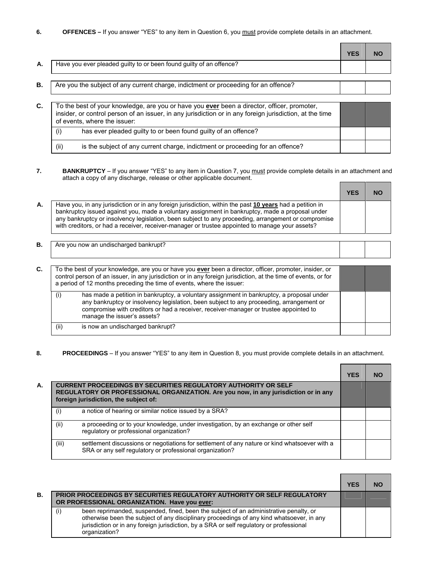**6. OFFENCES –** If you answer "YES" to any item in Question 6, you must provide complete details in an attachment.

|    |                                                                     | <b>YES</b> | <b>NO</b> |
|----|---------------------------------------------------------------------|------------|-----------|
| Α. | Have you ever pleaded guilty to or been found guilty of an offence? |            |           |
|    |                                                                     |            |           |

| В. | Are you the subject of any current charge, indictment or proceeding for an offence? |  |  |
|----|-------------------------------------------------------------------------------------|--|--|
|----|-------------------------------------------------------------------------------------|--|--|

| С. |      | To the best of your knowledge, are you or have you <b>ever</b> been a director, officer, promoter,<br>insider, or control person of an issuer, in any jurisdiction or in any foreign jurisdiction, at the time<br>of events, where the issuer: |  |
|----|------|------------------------------------------------------------------------------------------------------------------------------------------------------------------------------------------------------------------------------------------------|--|
|    | (i)  | has ever pleaded quilty to or been found quilty of an offence?                                                                                                                                                                                 |  |
|    | (ii) | is the subject of any current charge, indictment or proceeding for an offence?                                                                                                                                                                 |  |

**7. BANKRUPTCY** – If you answer "YES" to any item in Question 7, you must provide complete details in an attachment and attach a copy of any discharge, release or other applicable document. 

|    |                                                                                                                                                                                                                                                                                                                                                                                                                       | <b>YES</b> | <b>NO</b> |
|----|-----------------------------------------------------------------------------------------------------------------------------------------------------------------------------------------------------------------------------------------------------------------------------------------------------------------------------------------------------------------------------------------------------------------------|------------|-----------|
| А. | Have you, in any jurisdiction or in any foreign jurisdiction, within the past 10 years had a petition in<br>bankruptcy issued against you, made a voluntary assignment in bankruptcy, made a proposal under<br>any bankruptcy or insolvency legislation, been subject to any proceeding, arrangement or compromise<br>with creditors, or had a receiver, receiver-manager or trustee appointed to manage your assets? |            |           |

**B.** Are you now an undischarged bankrupt? **C.** To the best of your knowledge, are you or have you **ever** been a director, officer, promoter, insider, or control person of an issuer, in any jurisdiction or in any foreign jurisdiction, at the time of events, or for

|      | a period of 12 months preceding the time of events, where the issuer:                                                                                                                                                                                                                                         |  |
|------|---------------------------------------------------------------------------------------------------------------------------------------------------------------------------------------------------------------------------------------------------------------------------------------------------------------|--|
| (i)  | has made a petition in bankruptcy, a voluntary assignment in bankruptcy, a proposal under<br>any bankruptcy or insolvency legislation, been subject to any proceeding, arrangement or<br>compromise with creditors or had a receiver, receiver-manager or trustee appointed to<br>manage the issuer's assets? |  |
| (ii) | is now an undischarged bankrupt?                                                                                                                                                                                                                                                                              |  |

# **8. PROCEEDINGS** – If you answer "YES" to any item in Question 8, you must provide complete details in an attachment.

YES NO **A. CURRENT PROCEEDINGS BY SECURITIES REGULATORY AUTHORITY OR SELF REGULATORY OR PROFESSIONAL ORGANIZATION. Are you now, in any jurisdiction or in any foreign jurisdiction, the subject of:**  (i) a notice of hearing or similar notice issued by a SRA? (ii) a proceeding or to your knowledge, under investigation, by an exchange or other self regulatory or professional organization? (iii) settlement discussions or negotiations for settlement of any nature or kind whatsoever with a SRA or any self regulatory or professional organization?

|    |                                                                                                                                                                                                                                                                                                        | <b>YES</b> | <b>NO</b> |
|----|--------------------------------------------------------------------------------------------------------------------------------------------------------------------------------------------------------------------------------------------------------------------------------------------------------|------------|-----------|
| В. | <b>PRIOR PROCEEDINGS BY SECURITIES REGULATORY AUTHORITY OR SELF REGULATORY</b><br>OR PROFESSIONAL ORGANIZATION. Have you ever:                                                                                                                                                                         |            |           |
|    | been reprimanded, suspended, fined, been the subject of an administrative penalty, or<br>(i)<br>otherwise been the subject of any disciplinary proceedings of any kind whatsoever, in any<br>jurisdiction or in any foreign jurisdiction, by a SRA or self regulatory or professional<br>organization? |            |           |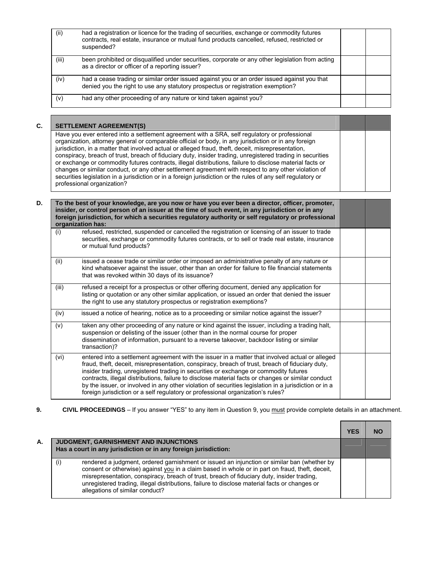| (ii)  | had a registration or licence for the trading of securities, exchange or commodity futures<br>contracts, real estate, insurance or mutual fund products cancelled, refused, restricted or<br>suspended? |  |
|-------|---------------------------------------------------------------------------------------------------------------------------------------------------------------------------------------------------------|--|
| (iii) | been prohibited or disqualified under securities, corporate or any other legislation from acting<br>as a director or officer of a reporting issuer?                                                     |  |
| (iv)  | had a cease trading or similar order issued against you or an order issued against you that<br>denied you the right to use any statutory prospectus or registration exemption?                          |  |
| (v)   | had any other proceeding of any nature or kind taken against you?                                                                                                                                       |  |

| C. | <b>SETTLEMENT AGREEMENT(S)</b>                                                                                                                                                                                                                                                                                                                                                                                                                                                                                                                                                                                                                                                                                                                                                              |  |
|----|---------------------------------------------------------------------------------------------------------------------------------------------------------------------------------------------------------------------------------------------------------------------------------------------------------------------------------------------------------------------------------------------------------------------------------------------------------------------------------------------------------------------------------------------------------------------------------------------------------------------------------------------------------------------------------------------------------------------------------------------------------------------------------------------|--|
|    | Have you ever entered into a settlement agreement with a SRA, self regulatory or professional<br>organization, attorney general or comparable official or body, in any jurisdiction or in any foreign<br>jurisdiction, in a matter that involved actual or alleged fraud, theft, deceit, misrepresentation,<br>conspiracy, breach of trust, breach of fiduciary duty, insider trading, unregistered trading in securities<br>or exchange or commodity futures contracts, illegal distributions, failure to disclose material facts or<br>changes or similar conduct, or any other settlement agreement with respect to any other violation of<br>securities legislation in a jurisdiction or in a foreign jurisdiction or the rules of any self regulatory or<br>professional organization? |  |

|       | To the best of your knowledge, are you now or have you ever been a director, officer, promoter,<br>insider, or control person of an issuer at the time of such event, in any jurisdiction or in any<br>foreign jurisdiction, for which a securities regulatory authority or self regulatory or professional<br>organization has:                                                                                                                                                                                                                                                             |  |
|-------|----------------------------------------------------------------------------------------------------------------------------------------------------------------------------------------------------------------------------------------------------------------------------------------------------------------------------------------------------------------------------------------------------------------------------------------------------------------------------------------------------------------------------------------------------------------------------------------------|--|
| (i)   | refused, restricted, suspended or cancelled the registration or licensing of an issuer to trade<br>securities, exchange or commodity futures contracts, or to sell or trade real estate, insurance<br>or mutual fund products?                                                                                                                                                                                                                                                                                                                                                               |  |
| (ii)  | issued a cease trade or similar order or imposed an administrative penalty of any nature or<br>kind whatsoever against the issuer, other than an order for failure to file financial statements<br>that was revoked within 30 days of its issuance?                                                                                                                                                                                                                                                                                                                                          |  |
| (iii) | refused a receipt for a prospectus or other offering document, denied any application for<br>listing or quotation or any other similar application, or issued an order that denied the issuer<br>the right to use any statutory prospectus or registration exemptions?                                                                                                                                                                                                                                                                                                                       |  |
| (iv)  | issued a notice of hearing, notice as to a proceeding or similar notice against the issuer?                                                                                                                                                                                                                                                                                                                                                                                                                                                                                                  |  |
| (v)   | taken any other proceeding of any nature or kind against the issuer, including a trading halt,<br>suspension or delisting of the issuer (other than in the normal course for proper<br>dissemination of information, pursuant to a reverse takeover, backdoor listing or similar<br>transaction)?                                                                                                                                                                                                                                                                                            |  |
| (vi)  | entered into a settlement agreement with the issuer in a matter that involved actual or alleged<br>fraud, theft, deceit, misrepresentation, conspiracy, breach of trust, breach of fiduciary duty,<br>insider trading, unregistered trading in securities or exchange or commodity futures<br>contracts, illegal distributions, failure to disclose material facts or changes or similar conduct<br>by the issuer, or involved in any other violation of securities legislation in a jurisdiction or in a<br>foreign jurisdiction or a self regulatory or professional organization's rules? |  |

**9.** CIVIL PROCEEDINGS – If you answer "YES" to any item in Question 9, you must provide complete details in an attachment.

 $\blacksquare$ 

|    |                                                                                                                                                                                                                                                                                                                                                                                                                                         | <b>YES</b> | <b>NO</b> |
|----|-----------------------------------------------------------------------------------------------------------------------------------------------------------------------------------------------------------------------------------------------------------------------------------------------------------------------------------------------------------------------------------------------------------------------------------------|------------|-----------|
| А. | JUDGMENT, GARNISHMENT AND INJUNCTIONS<br>Has a court in any jurisdiction or in any foreign jurisdiction:                                                                                                                                                                                                                                                                                                                                |            |           |
|    | rendered a judgment, ordered garnishment or issued an injunction or similar ban (whether by<br>(i)<br>consent or otherwise) against you in a claim based in whole or in part on fraud, theft, deceit,<br>misrepresentation, conspiracy, breach of trust, breach of fiduciary duty, insider trading,<br>unregistered trading, illegal distributions, failure to disclose material facts or changes or<br>allegations of similar conduct? |            |           |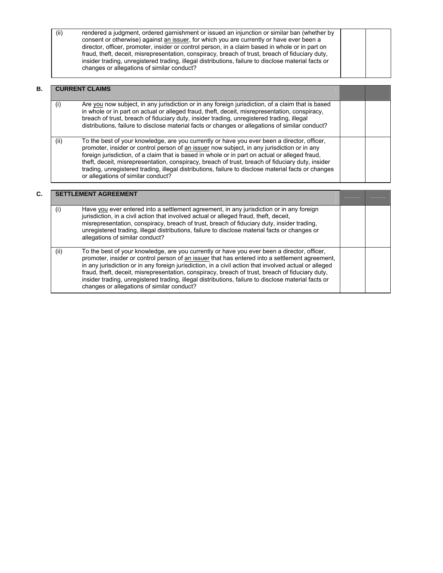| (ii) | rendered a judgment, ordered garnishment or issued an injunction or similar ban (whether by         |  |
|------|-----------------------------------------------------------------------------------------------------|--|
|      | consent or otherwise) against an issuer, for which you are currently or have ever been a            |  |
|      | director, officer, promoter, insider or control person, in a claim based in whole or in part on     |  |
|      | fraud, theft, deceit, misrepresentation, conspiracy, breach of trust, breach of fiduciary duty,     |  |
|      | insider trading, unregistered trading, illegal distributions, failure to disclose material facts or |  |
|      | changes or allegations of similar conduct?                                                          |  |

| В. |      | <b>CURRENT CLAIMS</b>                                                                                                                                                                                                                                                                                                                                                                                                                                                                                                                         |  |
|----|------|-----------------------------------------------------------------------------------------------------------------------------------------------------------------------------------------------------------------------------------------------------------------------------------------------------------------------------------------------------------------------------------------------------------------------------------------------------------------------------------------------------------------------------------------------|--|
|    | (i)  | Are you now subject, in any jurisdiction or in any foreign jurisdiction, of a claim that is based<br>in whole or in part on actual or alleged fraud, theft, deceit, misrepresentation, conspiracy,<br>breach of trust, breach of fiduciary duty, insider trading, unregistered trading, illegal<br>distributions, failure to disclose material facts or changes or allegations of similar conduct?                                                                                                                                            |  |
|    | (ii) | To the best of your knowledge, are you currently or have you ever been a director, officer,<br>promoter, insider or control person of an issuer now subject, in any jurisdiction or in any<br>foreign jurisdiction, of a claim that is based in whole or in part on actual or alleged fraud,<br>theft, deceit, misrepresentation, conspiracy, breach of trust, breach of fiduciary duty, insider<br>trading, unregistered trading, illegal distributions, failure to disclose material facts or changes<br>or allegations of similar conduct? |  |

| C. |      | <b>SETTLEMENT AGREEMENT</b>                                                                                                                                                                                                                                                                                                                                                                                                                                                                                                                                    |  |
|----|------|----------------------------------------------------------------------------------------------------------------------------------------------------------------------------------------------------------------------------------------------------------------------------------------------------------------------------------------------------------------------------------------------------------------------------------------------------------------------------------------------------------------------------------------------------------------|--|
|    | (i)  | Have you ever entered into a settlement agreement, in any jurisdiction or in any foreign<br>jurisdiction, in a civil action that involved actual or alleged fraud, theft, deceit,<br>misrepresentation, conspiracy, breach of trust, breach of fiduciary duty, insider trading,<br>unregistered trading, illegal distributions, failure to disclose material facts or changes or<br>allegations of similar conduct?                                                                                                                                            |  |
|    | (ii) | To the best of your knowledge, are you currently or have you ever been a director, officer,<br>promoter, insider or control person of an issuer that has entered into a settlement agreement,<br>in any jurisdiction or in any foreign jurisdiction, in a civil action that involved actual or alleged<br>fraud, theft, deceit, misrepresentation, conspiracy, breach of trust, breach of fiduciary duty,<br>insider trading, unregistered trading, illegal distributions, failure to disclose material facts or<br>changes or allegations of similar conduct? |  |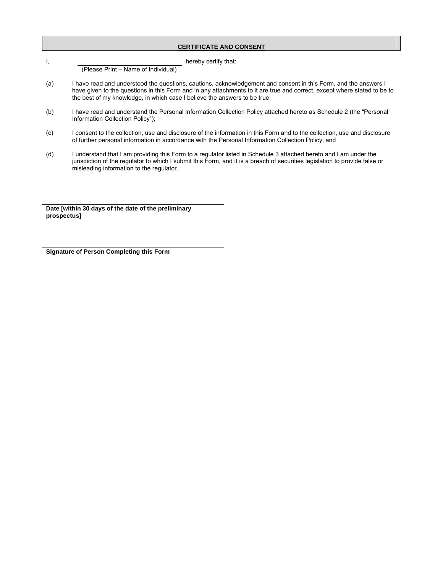#### **CERTIFICATE AND CONSENT**

hereby certify that:

(Please Print – Name of Individual)

I,

- (a) I have read and understood the questions, cautions, acknowledgement and consent in this Form, and the answers I have given to the questions in this Form and in any attachments to it are true and correct, except where stated to be to the best of my knowledge, in which case I believe the answers to be true;
- (b) I have read and understand the Personal Information Collection Policy attached hereto as Schedule 2 (the "Personal Information Collection Policy");
- (c) I consent to the collection, use and disclosure of the information in this Form and to the collection, use and disclosure of further personal information in accordance with the Personal Information Collection Policy; and
- (d) I understand that I am providing this Form to a regulator listed in Schedule 3 attached hereto and I am under the jurisdiction of the regulator to which I submit this Form, and it is a breach of securities legislation to provide false or misleading information to the regulator.

**Date [within 30 days of the date of the preliminary prospectus]** 

**Signature of Person Completing this Form**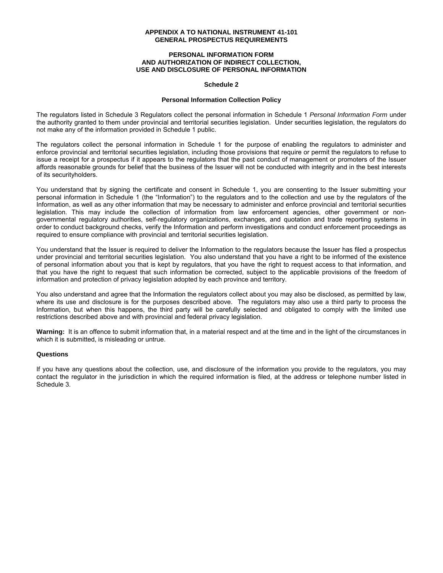# **APPENDIX A TO NATIONAL INSTRUMENT 41-101 GENERAL PROSPECTUS REQUIREMENTS**

#### **PERSONAL INFORMATION FORM AND AUTHORIZATION OF INDIRECT COLLECTION, USE AND DISCLOSURE OF PERSONAL INFORMATION**

# **Schedule 2**

### **Personal Information Collection Policy**

The regulators listed in Schedule 3 Regulators collect the personal information in Schedule 1 *Personal Information Form* under the authority granted to them under provincial and territorial securities legislation. Under securities legislation, the regulators do not make any of the information provided in Schedule 1 public.

The regulators collect the personal information in Schedule 1 for the purpose of enabling the regulators to administer and enforce provincial and territorial securities legislation, including those provisions that require or permit the regulators to refuse to issue a receipt for a prospectus if it appears to the regulators that the past conduct of management or promoters of the Issuer affords reasonable grounds for belief that the business of the Issuer will not be conducted with integrity and in the best interests of its securityholders.

You understand that by signing the certificate and consent in Schedule 1, you are consenting to the Issuer submitting your personal information in Schedule 1 (the "Information") to the regulators and to the collection and use by the regulators of the Information, as well as any other information that may be necessary to administer and enforce provincial and territorial securities legislation. This may include the collection of information from law enforcement agencies, other government or nongovernmental regulatory authorities, self-regulatory organizations, exchanges, and quotation and trade reporting systems in order to conduct background checks, verify the Information and perform investigations and conduct enforcement proceedings as required to ensure compliance with provincial and territorial securities legislation.

You understand that the Issuer is required to deliver the Information to the regulators because the Issuer has filed a prospectus under provincial and territorial securities legislation. You also understand that you have a right to be informed of the existence of personal information about you that is kept by regulators, that you have the right to request access to that information, and that you have the right to request that such information be corrected, subject to the applicable provisions of the freedom of information and protection of privacy legislation adopted by each province and territory.

You also understand and agree that the Information the regulators collect about you may also be disclosed, as permitted by law, where its use and disclosure is for the purposes described above. The regulators may also use a third party to process the Information, but when this happens, the third party will be carefully selected and obligated to comply with the limited use restrictions described above and with provincial and federal privacy legislation.

**Warning:** It is an offence to submit information that, in a material respect and at the time and in the light of the circumstances in which it is submitted, is misleading or untrue.

# **Questions**

If you have any questions about the collection, use, and disclosure of the information you provide to the regulators, you may contact the regulator in the jurisdiction in which the required information is filed, at the address or telephone number listed in Schedule 3.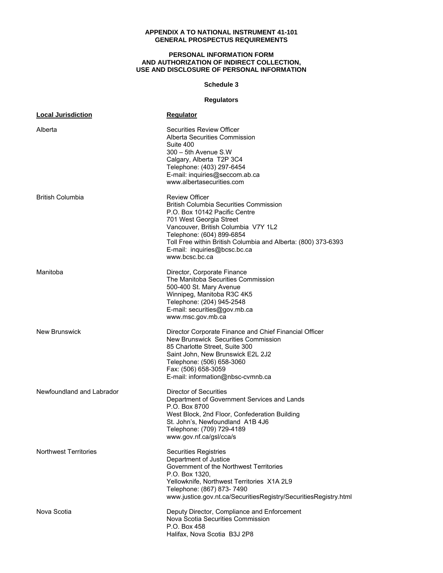# **APPENDIX A TO NATIONAL INSTRUMENT 41-101 GENERAL PROSPECTUS REQUIREMENTS**

# **PERSONAL INFORMATION FORM AND AUTHORIZATION OF INDIRECT COLLECTION, USE AND DISCLOSURE OF PERSONAL INFORMATION**

# **Schedule 3**

# **Regulators**

| <b>Local Jurisdiction</b>    | <b>Regulator</b>                                                                                                                                                                                                                                                                                                          |
|------------------------------|---------------------------------------------------------------------------------------------------------------------------------------------------------------------------------------------------------------------------------------------------------------------------------------------------------------------------|
| Alberta                      | Securities Review Officer<br>Alberta Securities Commission<br>Suite 400<br>300 - 5th Avenue S.W<br>Calgary, Alberta T2P 3C4<br>Telephone: (403) 297-6454<br>E-mail: inquiries@seccom.ab.ca<br>www.albertasecurities.com                                                                                                   |
| British Columbia             | <b>Review Officer</b><br><b>British Columbia Securities Commission</b><br>P.O. Box 10142 Pacific Centre<br>701 West Georgia Street<br>Vancouver, British Columbia V7Y 1L2<br>Telephone: (604) 899-6854<br>Toll Free within British Columbia and Alberta: (800) 373-6393<br>E-mail: inquiries@bcsc.bc.ca<br>www.bcsc.bc.ca |
| Manitoba                     | Director, Corporate Finance<br>The Manitoba Securities Commission<br>500-400 St. Mary Avenue<br>Winnipeg, Manitoba R3C 4K5<br>Telephone: (204) 945-2548<br>E-mail: securities@gov.mb.ca<br>www.msc.gov.mb.ca                                                                                                              |
| New Brunswick                | Director Corporate Finance and Chief Financial Officer<br>New Brunswick Securities Commission<br>85 Charlotte Street, Suite 300<br>Saint John, New Brunswick E2L 2J2<br>Telephone: (506) 658-3060<br>Fax: (506) 658-3059<br>E-mail: information@nbsc-cvmnb.ca                                                             |
| Newfoundland and Labrador    | Director of Securities<br>Department of Government Services and Lands<br>P.O. Box 8700<br>West Block, 2nd Floor, Confederation Building<br>St. John's, Newfoundland A1B 4J6<br>Telephone: (709) 729-4189<br>www.gov.nf.ca/gsl/cca/s                                                                                       |
| <b>Northwest Territories</b> | <b>Securities Registries</b><br>Department of Justice<br>Government of the Northwest Territories<br>P.O. Box 1320,<br>Yellowknife, Northwest Territories X1A 2L9<br>Telephone: (867) 873- 7490<br>www.justice.gov.nt.ca/SecuritiesRegistry/SecuritiesRegistry.html                                                        |
| Nova Scotia                  | Deputy Director, Compliance and Enforcement<br>Nova Scotia Securities Commission<br>P.O. Box 458<br>Halifax, Nova Scotia B3J 2P8                                                                                                                                                                                          |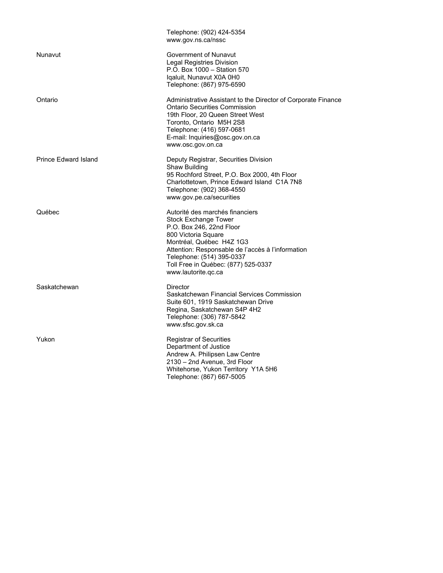|                             | Telephone: (902) 424-5354<br>www.gov.ns.ca/nssc                                                                                                                                                                                                                                               |
|-----------------------------|-----------------------------------------------------------------------------------------------------------------------------------------------------------------------------------------------------------------------------------------------------------------------------------------------|
| Nunavut                     | Government of Nunavut<br>Legal Registries Division<br>P.O. Box 1000 - Station 570<br>Igaluit, Nunavut X0A 0H0<br>Telephone: (867) 975-6590                                                                                                                                                    |
| Ontario                     | Administrative Assistant to the Director of Corporate Finance<br>Ontario Securities Commission<br>19th Floor, 20 Queen Street West<br>Toronto, Ontario M5H 2S8<br>Telephone: (416) 597-0681<br>E-mail: Inquiries@osc.gov.on.ca<br>www.osc.gov.on.ca                                           |
| <b>Prince Edward Island</b> | Deputy Registrar, Securities Division<br>Shaw Building<br>95 Rochford Street, P.O. Box 2000, 4th Floor<br>Charlottetown, Prince Edward Island, C1A 7N8<br>Telephone: (902) 368-4550<br>www.gov.pe.ca/securities                                                                               |
| Québec                      | Autorité des marchés financiers<br><b>Stock Exchange Tower</b><br>P.O. Box 246, 22nd Floor<br>800 Victoria Square<br>Montréal. Québec H4Z 1G3<br>Attention: Responsable de l'accès à l'information<br>Telephone: (514) 395-0337<br>Toll Free in Québec: (877) 525-0337<br>www.lautorite.qc.ca |
| Saskatchewan                | Director<br>Saskatchewan Financial Services Commission<br>Suite 601, 1919 Saskatchewan Drive<br>Regina, Saskatchewan S4P 4H2<br>Telephone: (306) 787-5842<br>www.sfsc.gov.sk.ca                                                                                                               |
| Yukon                       | Registrar of Securities<br>Department of Justice<br>Andrew A. Philipsen Law Centre<br>2130 - 2nd Avenue, 3rd Floor<br>Whitehorse, Yukon Territory Y1A 5H6<br>Telephone: (867) 667-5005                                                                                                        |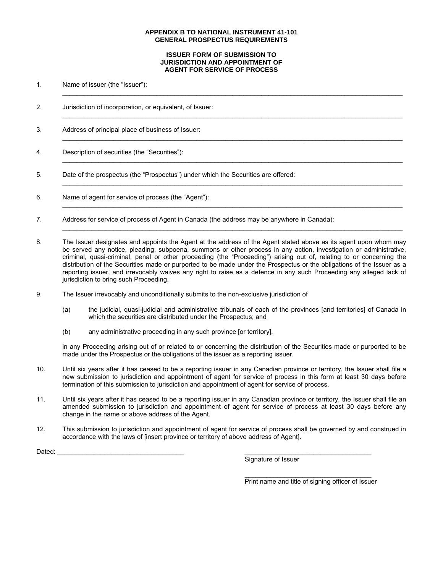# **APPENDIX B TO NATIONAL INSTRUMENT 41-101 GENERAL PROSPECTUS REQUIREMENTS**

# **ISSUER FORM OF SUBMISSION TO JURISDICTION AND APPOINTMENT OF AGENT FOR SERVICE OF PROCESS**

\_\_\_\_\_\_\_\_\_\_\_\_\_\_\_\_\_\_\_\_\_\_\_\_\_\_\_\_\_\_\_\_\_\_\_\_\_\_\_\_\_\_\_\_\_\_\_\_\_\_\_\_\_\_\_\_\_\_\_\_\_\_\_\_\_\_\_\_\_\_\_\_\_\_\_\_\_\_\_\_\_\_\_\_\_\_\_\_\_\_\_\_\_\_

\_\_\_\_\_\_\_\_\_\_\_\_\_\_\_\_\_\_\_\_\_\_\_\_\_\_\_\_\_\_\_\_\_\_\_\_\_\_\_\_\_\_\_\_\_\_\_\_\_\_\_\_\_\_\_\_\_\_\_\_\_\_\_\_\_\_\_\_\_\_\_\_\_\_\_\_\_\_\_\_\_\_\_\_\_\_\_\_\_\_\_\_\_\_

\_\_\_\_\_\_\_\_\_\_\_\_\_\_\_\_\_\_\_\_\_\_\_\_\_\_\_\_\_\_\_\_\_\_\_\_\_\_\_\_\_\_\_\_\_\_\_\_\_\_\_\_\_\_\_\_\_\_\_\_\_\_\_\_\_\_\_\_\_\_\_\_\_\_\_\_\_\_\_\_\_\_\_\_\_\_\_\_\_\_\_\_\_\_

\_\_\_\_\_\_\_\_\_\_\_\_\_\_\_\_\_\_\_\_\_\_\_\_\_\_\_\_\_\_\_\_\_\_\_\_\_\_\_\_\_\_\_\_\_\_\_\_\_\_\_\_\_\_\_\_\_\_\_\_\_\_\_\_\_\_\_\_\_\_\_\_\_\_\_\_\_\_\_\_\_\_\_\_\_\_\_\_\_\_\_\_\_\_

\_\_\_\_\_\_\_\_\_\_\_\_\_\_\_\_\_\_\_\_\_\_\_\_\_\_\_\_\_\_\_\_\_\_\_\_\_\_\_\_\_\_\_\_\_\_\_\_\_\_\_\_\_\_\_\_\_\_\_\_\_\_\_\_\_\_\_\_\_\_\_\_\_\_\_\_\_\_\_\_\_\_\_\_\_\_\_\_\_\_\_\_\_\_

\_\_\_\_\_\_\_\_\_\_\_\_\_\_\_\_\_\_\_\_\_\_\_\_\_\_\_\_\_\_\_\_\_\_\_\_\_\_\_\_\_\_\_\_\_\_\_\_\_\_\_\_\_\_\_\_\_\_\_\_\_\_\_\_\_\_\_\_\_\_\_\_\_\_\_\_\_\_\_\_\_\_\_\_\_\_\_\_\_\_\_\_\_\_

\_\_\_\_\_\_\_\_\_\_\_\_\_\_\_\_\_\_\_\_\_\_\_\_\_\_\_\_\_\_\_\_\_\_\_\_\_\_\_\_\_\_\_\_\_\_\_\_\_\_\_\_\_\_\_\_\_\_\_\_\_\_\_\_\_\_\_\_\_\_\_\_\_\_\_\_\_\_\_\_\_\_\_\_\_\_\_\_\_\_\_\_\_\_

1. Name of issuer (the "Issuer"):

- 2. Jurisdiction of incorporation, or equivalent, of Issuer:
- 3. Address of principal place of business of Issuer:

4. Description of securities (the "Securities"):

5. Date of the prospectus (the "Prospectus") under which the Securities are offered:

- 6. Name of agent for service of process (the "Agent"):
- 7. Address for service of process of Agent in Canada (the address may be anywhere in Canada):
- 8. The Issuer designates and appoints the Agent at the address of the Agent stated above as its agent upon whom may be served any notice, pleading, subpoena, summons or other process in any action, investigation or administrative, criminal, quasi-criminal, penal or other proceeding (the "Proceeding") arising out of, relating to or concerning the distribution of the Securities made or purported to be made under the Prospectus or the obligations of the Issuer as a reporting issuer, and irrevocably waives any right to raise as a defence in any such Proceeding any alleged lack of jurisdiction to bring such Proceeding.
- 9. The Issuer irrevocably and unconditionally submits to the non-exclusive jurisdiction of
	- (a) the judicial, quasi-judicial and administrative tribunals of each of the provinces [and territories] of Canada in which the securities are distributed under the Prospectus; and
	- (b) any administrative proceeding in any such province [or territory],

in any Proceeding arising out of or related to or concerning the distribution of the Securities made or purported to be made under the Prospectus or the obligations of the issuer as a reporting issuer.

- 10. Until six years after it has ceased to be a reporting issuer in any Canadian province or territory, the Issuer shall file a new submission to jurisdiction and appointment of agent for service of process in this form at least 30 days before termination of this submission to jurisdiction and appointment of agent for service of process.
- 11. Until six years after it has ceased to be a reporting issuer in any Canadian province or territory, the Issuer shall file an amended submission to jurisdiction and appointment of agent for service of process at least 30 days before any change in the name or above address of the Agent.
- 12. This submission to jurisdiction and appointment of agent for service of process shall be governed by and construed in accordance with the laws of [insert province or territory of above address of Agent].

 $\mathcal{L}_\text{max}$  , and the contract of the contract of the contract of the contract of the contract of the contract of the contract of the contract of the contract of the contract of the contract of the contract of the contr

Dated: \_\_\_\_\_\_\_\_\_\_\_\_\_\_\_\_\_\_\_\_\_\_\_\_\_\_\_\_\_\_\_\_\_\_\_ \_\_\_\_\_\_\_\_\_\_\_\_\_\_\_\_\_\_\_\_\_\_\_\_\_\_\_\_\_\_\_\_\_\_\_

Signature of Issuer

Print name and title of signing officer of Issuer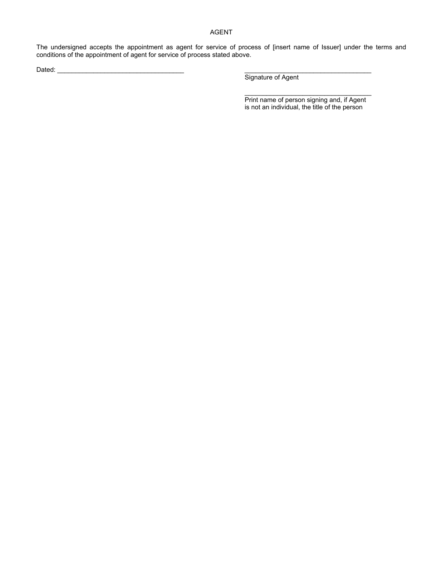# AGENT

The undersigned accepts the appointment as agent for service of process of [insert name of Issuer] under the terms and conditions of the appointment of agent for service of process stated above.

 $\mathcal{L}_\text{max}$  , and the contract of the contract of the contract of the contract of the contract of the contract of the contract of the contract of the contract of the contract of the contract of the contract of the contr

Dated: \_\_\_\_\_\_\_\_\_\_\_\_\_\_\_\_\_\_\_\_\_\_\_\_\_\_\_\_\_\_\_\_\_\_\_ \_\_\_\_\_\_\_\_\_\_\_\_\_\_\_\_\_\_\_\_\_\_\_\_\_\_\_\_\_\_\_\_\_\_\_

Signature of Agent

 Print name of person signing and, if Agent is not an individual, the title of the person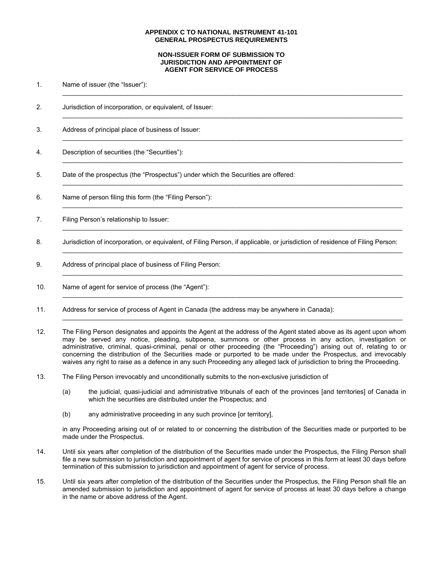# **APPENDIX C TO NATIONAL INSTRUMENT 41-101 GENERAL PROSPECTUS REQUIREMENTS**

# **NON-ISSUER FORM OF SUBMISSION TO JURISDICTION AND APPOINTMENT OF AGENT FOR SERVICE OF PROCESS**

\_\_\_\_\_\_\_\_\_\_\_\_\_\_\_\_\_\_\_\_\_\_\_\_\_\_\_\_\_\_\_\_\_\_\_\_\_\_\_\_\_\_\_\_\_\_\_\_\_\_\_\_\_\_\_\_\_\_\_\_\_\_\_\_\_\_\_\_\_\_\_\_\_\_\_\_\_\_\_\_\_\_\_\_\_\_\_\_\_\_\_\_\_\_

\_\_\_\_\_\_\_\_\_\_\_\_\_\_\_\_\_\_\_\_\_\_\_\_\_\_\_\_\_\_\_\_\_\_\_\_\_\_\_\_\_\_\_\_\_\_\_\_\_\_\_\_\_\_\_\_\_\_\_\_\_\_\_\_\_\_\_\_\_\_\_\_\_\_\_\_\_\_\_\_\_\_\_\_\_\_\_\_\_\_\_\_\_\_

\_\_\_\_\_\_\_\_\_\_\_\_\_\_\_\_\_\_\_\_\_\_\_\_\_\_\_\_\_\_\_\_\_\_\_\_\_\_\_\_\_\_\_\_\_\_\_\_\_\_\_\_\_\_\_\_\_\_\_\_\_\_\_\_\_\_\_\_\_\_\_\_\_\_\_\_\_\_\_\_\_\_\_\_\_\_\_\_\_\_\_\_\_\_

\_\_\_\_\_\_\_\_\_\_\_\_\_\_\_\_\_\_\_\_\_\_\_\_\_\_\_\_\_\_\_\_\_\_\_\_\_\_\_\_\_\_\_\_\_\_\_\_\_\_\_\_\_\_\_\_\_\_\_\_\_\_\_\_\_\_\_\_\_\_\_\_\_\_\_\_\_\_\_\_\_\_\_\_\_\_\_\_\_\_\_\_\_\_

\_\_\_\_\_\_\_\_\_\_\_\_\_\_\_\_\_\_\_\_\_\_\_\_\_\_\_\_\_\_\_\_\_\_\_\_\_\_\_\_\_\_\_\_\_\_\_\_\_\_\_\_\_\_\_\_\_\_\_\_\_\_\_\_\_\_\_\_\_\_\_\_\_\_\_\_\_\_\_\_\_\_\_\_\_\_\_\_\_\_\_\_\_\_

\_\_\_\_\_\_\_\_\_\_\_\_\_\_\_\_\_\_\_\_\_\_\_\_\_\_\_\_\_\_\_\_\_\_\_\_\_\_\_\_\_\_\_\_\_\_\_\_\_\_\_\_\_\_\_\_\_\_\_\_\_\_\_\_\_\_\_\_\_\_\_\_\_\_\_\_\_\_\_\_\_\_\_\_\_\_\_\_\_\_\_\_\_\_

\_\_\_\_\_\_\_\_\_\_\_\_\_\_\_\_\_\_\_\_\_\_\_\_\_\_\_\_\_\_\_\_\_\_\_\_\_\_\_\_\_\_\_\_\_\_\_\_\_\_\_\_\_\_\_\_\_\_\_\_\_\_\_\_\_\_\_\_\_\_\_\_\_\_\_\_\_\_\_\_\_\_\_\_\_\_\_\_\_\_\_\_\_\_

\_\_\_\_\_\_\_\_\_\_\_\_\_\_\_\_\_\_\_\_\_\_\_\_\_\_\_\_\_\_\_\_\_\_\_\_\_\_\_\_\_\_\_\_\_\_\_\_\_\_\_\_\_\_\_\_\_\_\_\_\_\_\_\_\_\_\_\_\_\_\_\_\_\_\_\_\_\_\_\_\_\_\_\_\_\_\_\_\_\_\_\_\_\_

\_\_\_\_\_\_\_\_\_\_\_\_\_\_\_\_\_\_\_\_\_\_\_\_\_\_\_\_\_\_\_\_\_\_\_\_\_\_\_\_\_\_\_\_\_\_\_\_\_\_\_\_\_\_\_\_\_\_\_\_\_\_\_\_\_\_\_\_\_\_\_\_\_\_\_\_\_\_\_\_\_\_\_\_\_\_\_\_\_\_\_\_\_\_

\_\_\_\_\_\_\_\_\_\_\_\_\_\_\_\_\_\_\_\_\_\_\_\_\_\_\_\_\_\_\_\_\_\_\_\_\_\_\_\_\_\_\_\_\_\_\_\_\_\_\_\_\_\_\_\_\_\_\_\_\_\_\_\_\_\_\_\_\_\_\_\_\_\_\_\_\_\_\_\_\_\_\_\_\_\_\_\_\_\_\_\_\_\_

\_\_\_\_\_\_\_\_\_\_\_\_\_\_\_\_\_\_\_\_\_\_\_\_\_\_\_\_\_\_\_\_\_\_\_\_\_\_\_\_\_\_\_\_\_\_\_\_\_\_\_\_\_\_\_\_\_\_\_\_\_\_\_\_\_\_\_\_\_\_\_\_\_\_\_\_\_\_\_\_\_\_\_\_\_\_\_\_\_\_\_\_\_\_

- 1. Name of issuer (the "Issuer"):
- 2. Jurisdiction of incorporation, or equivalent, of Issuer:
- 3. Address of principal place of business of Issuer:
- 4. Description of securities (the "Securities"):
- 5. Date of the prospectus (the "Prospectus") under which the Securities are offered:
- 6. Name of person filing this form (the "Filing Person"):
- 7. Filing Person's relationship to Issuer:
- 8. Jurisdiction of incorporation, or equivalent, of Filing Person, if applicable, or jurisdiction of residence of Filing Person:
- 9. Address of principal place of business of Filing Person:
- 10. Name of agent for service of process (the "Agent"):
- 11. Address for service of process of Agent in Canada (the address may be anywhere in Canada):
- 12. The Filing Person designates and appoints the Agent at the address of the Agent stated above as its agent upon whom may be served any notice, pleading, subpoena, summons or other process in any action, investigation or administrative, criminal, quasi-criminal, penal or other proceeding (the "Proceeding") arising out of, relating to or concerning the distribution of the Securities made or purported to be made under the Prospectus, and irrevocably waives any right to raise as a defence in any such Proceeding any alleged lack of jurisdiction to bring the Proceeding.
- 13. The Filing Person irrevocably and unconditionally submits to the non-exclusive jurisdiction of
	- (a) the judicial, quasi-judicial and administrative tribunals of each of the provinces [and territories] of Canada in which the securities are distributed under the Prospectus; and
	- (b) any administrative proceeding in any such province [or territory],

in any Proceeding arising out of or related to or concerning the distribution of the Securities made or purported to be made under the Prospectus.

- 14. Until six years after completion of the distribution of the Securities made under the Prospectus, the Filing Person shall file a new submission to jurisdiction and appointment of agent for service of process in this form at least 30 days before termination of this submission to jurisdiction and appointment of agent for service of process.
- 15. Until six years after completion of the distribution of the Securities under the Prospectus, the Filing Person shall file an amended submission to jurisdiction and appointment of agent for service of process at least 30 days before a change in the name or above address of the Agent.